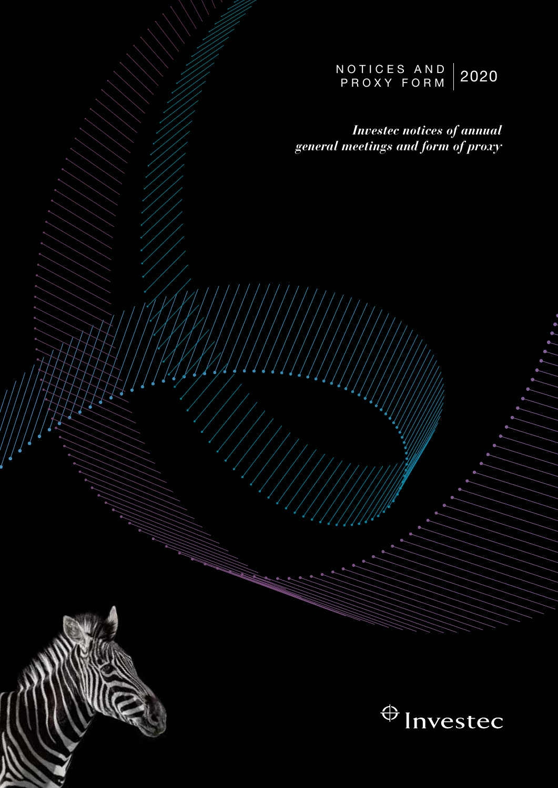## NOTICES AND 2020

*Investec notices of annual general meetings and form of proxy*

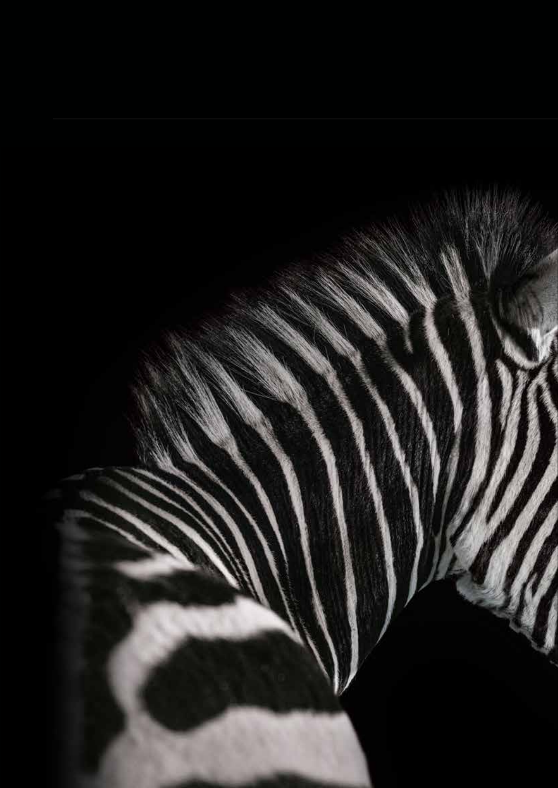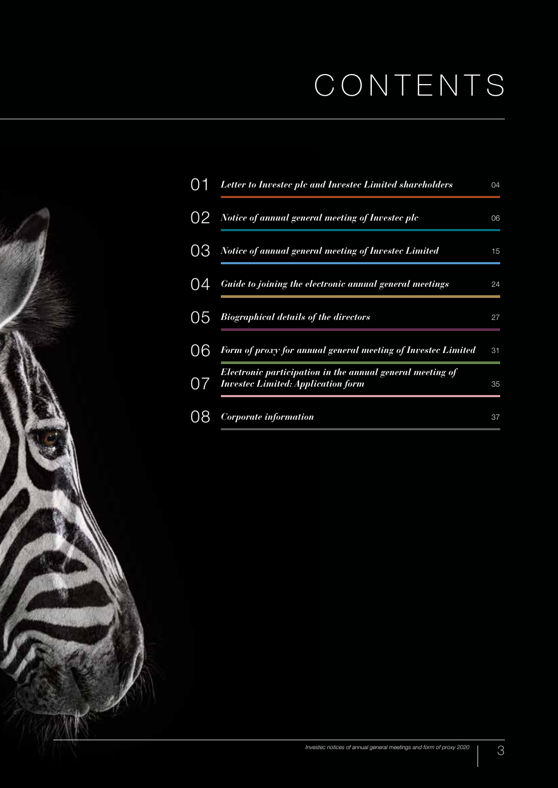# CONTENTS

|       | Letter to Investec plc and Investec Limited shareholders                                               | 04 |
|-------|--------------------------------------------------------------------------------------------------------|----|
| 02    | Notice of annual general meeting of Investec plc                                                       | 06 |
| 03    | <b>Notice of annual general meeting of Investec Limited</b>                                            | 15 |
| ( ) 4 | Guide to joining the electronic annual general meetings                                                | 24 |
| (၂.၁  | <b>Biographical details of the directors</b>                                                           | 27 |
|       | Form of proxy for annual general meeting of Investec Limited                                           | 31 |
|       | Electronic participation in the annual general meeting of<br><b>Investec Limited: Application form</b> | 35 |
|       | Corporate information                                                                                  | 37 |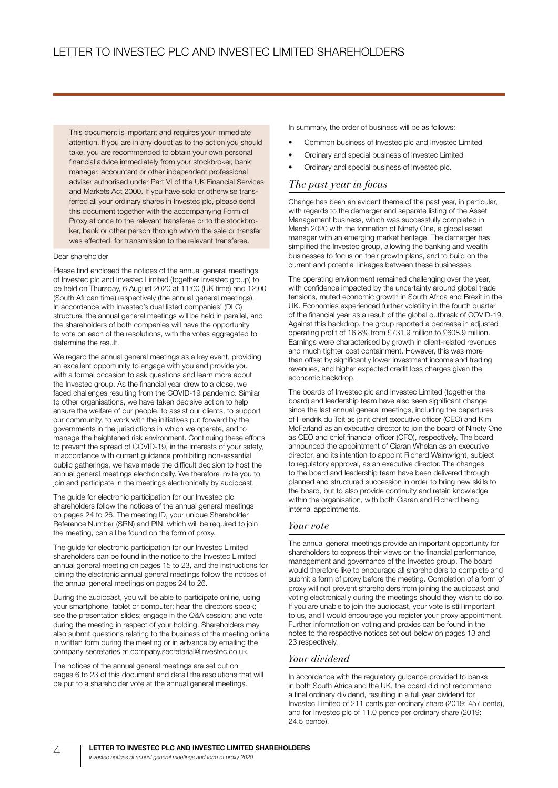This document is important and requires your immediate attention. If you are in any doubt as to the action you should take, you are recommended to obtain your own personal financial advice immediately from your stockbroker, bank manager, accountant or other independent professional adviser authorised under Part VI of the UK Financial Services and Markets Act 2000. If you have sold or otherwise transferred all your ordinary shares in Investec plc, please send this document together with the accompanying Form of Proxy at once to the relevant transferee or to the stockbroker, bank or other person through whom the sale or transfer was effected, for transmission to the relevant transferee.

#### Dear shareholder

Please find enclosed the notices of the annual general meetings of Investec plc and Investec Limited (together Investec group) to be held on Thursday, 6 August 2020 at 11:00 (UK time) and 12:00 (South African time) respectively (the annual general meetings). In accordance with Investec's dual listed companies' (DLC) structure, the annual general meetings will be held in parallel, and the shareholders of both companies will have the opportunity to vote on each of the resolutions, with the votes aggregated to determine the result.

We regard the annual general meetings as a key event, providing an excellent opportunity to engage with you and provide you with a formal occasion to ask questions and learn more about the Investec group. As the financial year drew to a close, we faced challenges resulting from the COVID-19 pandemic. Similar to other organisations, we have taken decisive action to help ensure the welfare of our people, to assist our clients, to support our community, to work with the initiatives put forward by the governments in the jurisdictions in which we operate, and to manage the heightened risk environment. Continuing these efforts to prevent the spread of COVID-19, in the interests of your safety. in accordance with current guidance prohibiting non-essential public gatherings, we have made the difficult decision to host the annual general meetings electronically. We therefore invite you to join and participate in the meetings electronically by audiocast.

The guide for electronic participation for our Investec plc shareholders follow the notices of the annual general meetings on pages 24 to 26. The meeting ID, your unique Shareholder Reference Number (SRN) and PIN, which will be required to join the meeting, can all be found on the form of proxy.

The guide for electronic participation for our Investec Limited shareholders can be found in the notice to the Investec Limited annual general meeting on pages 15 to 23, and the instructions for joining the electronic annual general meetings follow the notices of the annual general meetings on pages 24 to 26.

During the audiocast, you will be able to participate online, using your smartphone, tablet or computer; hear the directors speak; see the presentation slides; engage in the Q&A session; and vote during the meeting in respect of your holding. Shareholders may also submit questions relating to the business of the meeting online in written form during the meeting or in advance by emailing the company secretaries at company.secretarial@investec.co.uk.

The notices of the annual general meetings are set out on pages 6 to 23 of this document and detail the resolutions that will be put to a shareholder vote at the annual general meetings.

In summary, the order of business will be as follows:

- Common business of Investec plc and Investec Limited
- Ordinary and special business of Investec Limited
- Ordinary and special business of Investec plc.

## *The past year in focus*

Change has been an evident theme of the past year, in particular, with regards to the demerger and separate listing of the Asset Management business, which was successfully completed in March 2020 with the formation of Ninety One, a global asset manager with an emerging market heritage. The demerger has simplified the Investec group, allowing the banking and wealth businesses to focus on their growth plans, and to build on the current and potential linkages between these businesses.

The operating environment remained challenging over the year, with confidence impacted by the uncertainty around global trade tensions, muted economic growth in South Africa and Brexit in the UK. Economies experienced further volatility in the fourth quarter of the financial year as a result of the global outbreak of COVID-19. Against this backdrop, the group reported a decrease in adjusted operating profit of 16.8% from £731.9 million to £608.9 million. Earnings were characterised by growth in client-related revenues and much tighter cost containment. However, this was more than offset by significantly lower investment income and trading revenues, and higher expected credit loss charges given the economic backdrop.

The boards of Investec plc and Investec Limited (together the board) and leadership team have also seen significant change since the last annual general meetings, including the departures of Hendrik du Toit as joint chief executive officer (CEO) and Kim McFarland as an executive director to join the board of Ninety One as CEO and chief financial officer (CFO), respectively. The board announced the appointment of Ciaran Whelan as an executive director, and its intention to appoint Richard Wainwright, subject to regulatory approval, as an executive director. The changes to the board and leadership team have been delivered through planned and structured succession in order to bring new skills to the board, but to also provide continuity and retain knowledge within the organisation, with both Ciaran and Richard being internal appointments.

## *Your vote*

The annual general meetings provide an important opportunity for shareholders to express their views on the financial performance, management and governance of the Investec group. The board would therefore like to encourage all shareholders to complete and submit a form of proxy before the meeting. Completion of a form of proxy will not prevent shareholders from joining the audiocast and voting electronically during the meetings should they wish to do so. If you are unable to join the audiocast, your vote is still important to us, and I would encourage you register your proxy appointment. Further information on voting and proxies can be found in the notes to the respective notices set out below on pages 13 and 23 respectively.

## *Your dividend*

In accordance with the regulatory guidance provided to banks in both South Africa and the UK, the board did not recommend a final ordinary dividend, resulting in a full year dividend for Investec Limited of 211 cents per ordinary share (2019: 457 cents), and for Investec plc of 11.0 pence per ordinary share (2019: 24.5 pence).

 $\overline{4}$  | LETTER TO INVESTEC PLC AND INVESTEC LIMITED SHAREHOLDERS *Investec notices of annual general meetings and form of proxy 2020*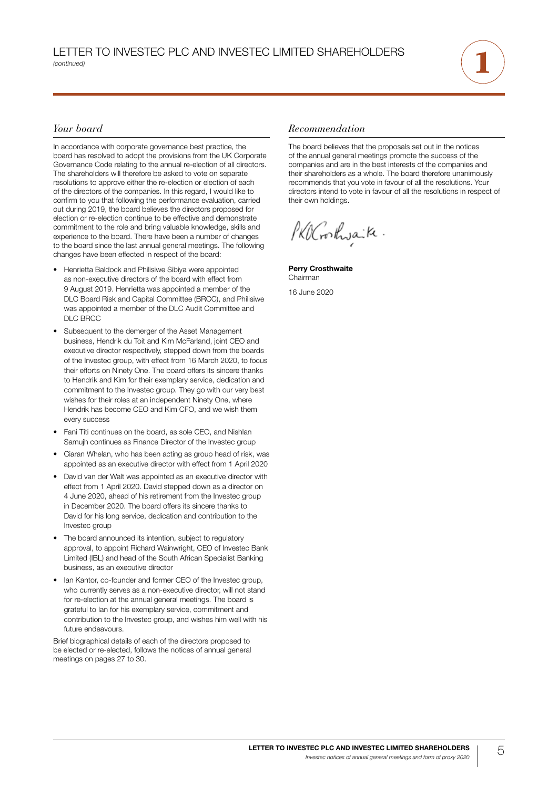

## *Your board*

In accordance with corporate governance best practice, the board has resolved to adopt the provisions from the UK Corporate Governance Code relating to the annual re-election of all directors. The shareholders will therefore be asked to vote on separate resolutions to approve either the re-election or election of each of the directors of the companies. In this regard, I would like to confirm to you that following the performance evaluation, carried out during 2019, the board believes the directors proposed for election or re-election continue to be effective and demonstrate commitment to the role and bring valuable knowledge, skills and experience to the board. There have been a number of changes to the board since the last annual general meetings. The following changes have been effected in respect of the board:

- Henrietta Baldock and Philisiwe Sibiya were appointed as non-executive directors of the board with effect from 9 August 2019. Henrietta was appointed a member of the DLC Board Risk and Capital Committee (BRCC), and Philisiwe was appointed a member of the DLC Audit Committee and DLC BRCC
- Subsequent to the demerger of the Asset Management business, Hendrik du Toit and Kim McFarland, joint CEO and executive director respectively, stepped down from the boards of the Investec group, with effect from 16 March 2020, to focus their efforts on Ninety One. The board offers its sincere thanks to Hendrik and Kim for their exemplary service, dedication and commitment to the Investec group. They go with our very best wishes for their roles at an independent Ninety One, where Hendrik has become CEO and Kim CFO, and we wish them every success
- Fani Titi continues on the board, as sole CEO, and Nishlan Samujh continues as Finance Director of the Investec group
- Ciaran Whelan, who has been acting as group head of risk, was appointed as an executive director with effect from 1 April 2020
- David van der Walt was appointed as an executive director with effect from 1 April 2020. David stepped down as a director on 4 June 2020, ahead of his retirement from the Investec group in December 2020. The board offers its sincere thanks to David for his long service, dedication and contribution to the Investec group
- The board announced its intention, subject to regulatory approval, to appoint Richard Wainwright, CEO of Investec Bank Limited (IBL) and head of the South African Specialist Banking business, as an executive director
- Ian Kantor, co-founder and former CEO of the Investec group, who currently serves as a non-executive director, will not stand for re-election at the annual general meetings. The board is grateful to Ian for his exemplary service, commitment and contribution to the Investec group, and wishes him well with his future endeavours.

Brief biographical details of each of the directors proposed to be elected or re-elected, follows the notices of annual general meetings on pages 27 to 30.

## *Recommendation*

The board believes that the proposals set out in the notices of the annual general meetings promote the success of the companies and are in the best interests of the companies and their shareholders as a whole. The board therefore unanimously recommends that you vote in favour of all the resolutions. Your directors intend to vote in favour of all the resolutions in respect of their own holdings.

PKO Croshwaik.

Perry Crosthwaite Chairman 16 June 2020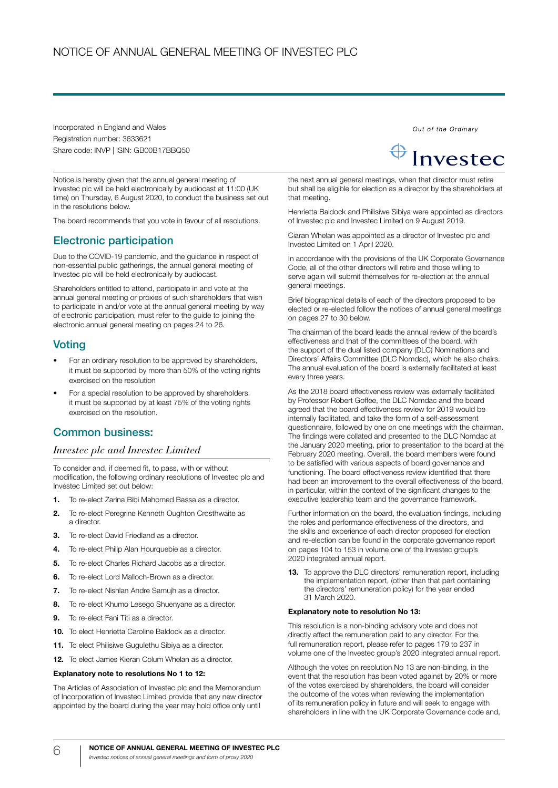Incorporated in England and Wales Registration number: 3633621 Share code: INVP | ISIN: GB00B17BBQ50

Notice is hereby given that the annual general meeting of Investec plc will be held electronically by audiocast at 11:00 (UK time) on Thursday, 6 August 2020, to conduct the business set out in the resolutions below.

The board recommends that you vote in favour of all resolutions.

## Electronic participation

Due to the COVID-19 pandemic, and the guidance in respect of non-essential public gatherings, the annual general meeting of Investec plc will be held electronically by audiocast.

Shareholders entitled to attend, participate in and vote at the annual general meeting or proxies of such shareholders that wish to participate in and/or vote at the annual general meeting by way of electronic participation, must refer to the guide to joining the electronic annual general meeting on pages 24 to 26.

## **Voting**

- For an ordinary resolution to be approved by shareholders, it must be supported by more than 50% of the voting rights exercised on the resolution
- For a special resolution to be approved by shareholders, it must be supported by at least 75% of the voting rights exercised on the resolution.

## Common business:

## *Investec plc and Investec Limited*

To consider and, if deemed fit, to pass, with or without modification, the following ordinary resolutions of Investec plc and Investec Limited set out below:

- 1. To re-elect Zarina Bibi Mahomed Bassa as a director.
- 2. To re-elect Peregrine Kenneth Oughton Crosthwaite as a director.
- **3.** To re-elect David Friedland as a director.
- 4. To re-elect Philip Alan Hourquebie as a director.
- 5. To re-elect Charles Richard Jacobs as a director.
- 6. To re-elect Lord Malloch-Brown as a director.
- 7. To re-elect Nishlan Andre Samujh as a director.
- 8. To re-elect Khumo Lesego Shuenyane as a director.
- 9. To re-elect Fani Titi as a director.
- 10. To elect Henrietta Caroline Baldock as a director.
- 11. To elect Philisiwe Gugulethu Sibiya as a director.
- 12. To elect James Kieran Colum Whelan as a director.

#### Explanatory note to resolutions No 1 to 12:

The Articles of Association of Investec plc and the Memorandum of Incorporation of Investec Limited provide that any new director appointed by the board during the year may hold office only until

Out of the Ordinary



the next annual general meetings, when that director must retire but shall be eligible for election as a director by the shareholders at that meeting.

Henrietta Baldock and Philisiwe Sibiya were appointed as directors of Investec plc and Investec Limited on 9 August 2019.

Ciaran Whelan was appointed as a director of Investec plc and Investec Limited on 1 April 2020.

In accordance with the provisions of the UK Corporate Governance Code, all of the other directors will retire and those willing to serve again will submit themselves for re-election at the annual general meetings.

Brief biographical details of each of the directors proposed to be elected or re-elected follow the notices of annual general meetings on pages 27 to 30 below.

The chairman of the board leads the annual review of the board's effectiveness and that of the committees of the board, with the support of the dual listed company (DLC) Nominations and Directors' Affairs Committee (DLC Nomdac), which he also chairs. The annual evaluation of the board is externally facilitated at least every three years.

As the 2018 board effectiveness review was externally facilitated by Professor Robert Goffee, the DLC Nomdac and the board agreed that the board effectiveness review for 2019 would be internally facilitated, and take the form of a self-assessment questionnaire, followed by one on one meetings with the chairman. The findings were collated and presented to the DLC Nomdac at the January 2020 meeting, prior to presentation to the board at the February 2020 meeting. Overall, the board members were found to be satisfied with various aspects of board governance and functioning. The board effectiveness review identified that there had been an improvement to the overall effectiveness of the board, in particular, within the context of the significant changes to the executive leadership team and the governance framework.

Further information on the board, the evaluation findings, including the roles and performance effectiveness of the directors, and the skills and experience of each director proposed for election and re-election can be found in the corporate governance report on pages 104 to 153 in volume one of the Investec group's 2020 integrated annual report.

**13.** To approve the DLC directors' remuneration report, including the implementation report, (other than that part containing the directors' remuneration policy) for the year ended 31 March 2020.

#### Explanatory note to resolution No 13:

This resolution is a non-binding advisory vote and does not directly affect the remuneration paid to any director. For the full remuneration report, please refer to pages 179 to 237 in volume one of the Investec group's 2020 integrated annual report.

Although the votes on resolution No 13 are non-binding, in the event that the resolution has been voted against by 20% or more of the votes exercised by shareholders, the board will consider the outcome of the votes when reviewing the implementation of its remuneration policy in future and will seek to engage with shareholders in line with the UK Corporate Governance code and,

 $6$  NOTICE OF ANNUAL GENERAL MEETING OF INVESTEC PLC *Investec notices of annual general meetings and form of proxy 2020*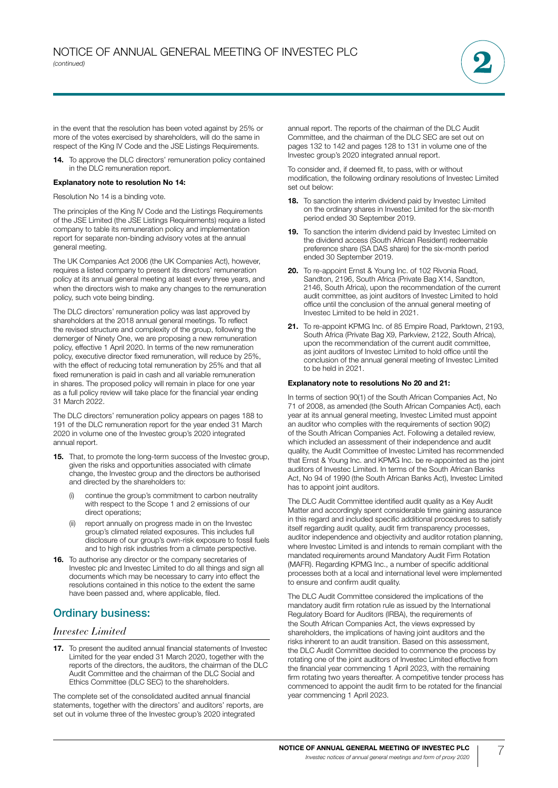

in the event that the resolution has been voted against by 25% or more of the votes exercised by shareholders, will do the same in respect of the King IV Code and the JSE Listings Requirements.

14. To approve the DLC directors' remuneration policy contained in the DLC remuneration report.

#### Explanatory note to resolution No 14:

Resolution No 14 is a binding vote.

The principles of the King IV Code and the Listings Requirements of the JSE Limited (the JSE Listings Requirements) require a listed company to table its remuneration policy and implementation report for separate non-binding advisory votes at the annual general meeting.

The UK Companies Act 2006 (the UK Companies Act), however, requires a listed company to present its directors' remuneration policy at its annual general meeting at least every three years, and when the directors wish to make any changes to the remuneration policy, such vote being binding.

The DLC directors' remuneration policy was last approved by shareholders at the 2018 annual general meetings. To reflect the revised structure and complexity of the group, following the demerger of Ninety One, we are proposing a new remuneration policy, effective 1 April 2020. In terms of the new remuneration policy, executive director fixed remuneration, will reduce by 25%, with the effect of reducing total remuneration by 25% and that all fixed remuneration is paid in cash and all variable remuneration in shares. The proposed policy will remain in place for one year as a full policy review will take place for the financial year ending 31 March 2022.

The DLC directors' remuneration policy appears on pages 188 to 191 of the DLC remuneration report for the year ended 31 March 2020 in volume one of the Investec group's 2020 integrated annual report.

- 15. That, to promote the long-term success of the Investec group, given the risks and opportunities associated with climate change, the Investec group and the directors be authorised and directed by the shareholders to:
	- (i) continue the group's commitment to carbon neutrality with respect to the Scope 1 and 2 emissions of our direct operations;
	- (ii) report annually on progress made in on the Investec group's climated related exposures. This includes full disclosure of our group's own-risk exposure to fossil fuels and to high risk industries from a climate perspective.
- 16. To authorise any director or the company secretaries of Investec plc and Investec Limited to do all things and sign all documents which may be necessary to carry into effect the resolutions contained in this notice to the extent the same have been passed and, where applicable, filed.

## Ordinary business:

#### *Investec Limited*

17. To present the audited annual financial statements of Investec Limited for the year ended 31 March 2020, together with the reports of the directors, the auditors, the chairman of the DLC Audit Committee and the chairman of the DLC Social and Ethics Committee (DLC SEC) to the shareholders.

The complete set of the consolidated audited annual financial statements, together with the directors' and auditors' reports, are set out in volume three of the Investec group's 2020 integrated

annual report. The reports of the chairman of the DLC Audit Committee, and the chairman of the DLC SEC are set out on pages 132 to 142 and pages 128 to 131 in volume one of the Investec group's 2020 integrated annual report.

To consider and, if deemed fit, to pass, with or without modification, the following ordinary resolutions of Investec Limited set out below:

- 18. To sanction the interim dividend paid by Investec Limited on the ordinary shares in Investec Limited for the six-month period ended 30 September 2019.
- 19. To sanction the interim dividend paid by Investec Limited on the dividend access (South African Resident) redeemable preference share (SA DAS share) for the six-month period ended 30 September 2019.
- 20. To re-appoint Ernst & Young Inc. of 102 Rivonia Road, Sandton, 2196, South Africa (Private Bag X14, Sandton, 2146, South Africa), upon the recommendation of the current audit committee, as joint auditors of Investec Limited to hold office until the conclusion of the annual general meeting of Investec Limited to be held in 2021.
- 21. To re-appoint KPMG Inc. of 85 Empire Road, Parktown, 2193, South Africa (Private Bag X9, Parkview, 2122, South Africa), upon the recommendation of the current audit committee, as joint auditors of Investec Limited to hold office until the conclusion of the annual general meeting of Investec Limited to be held in 2021.

#### Explanatory note to resolutions No 20 and 21:

In terms of section 90(1) of the South African Companies Act, No 71 of 2008, as amended (the South African Companies Act), each year at its annual general meeting, Investec Limited must appoint an auditor who complies with the requirements of section 90(2) of the South African Companies Act. Following a detailed review, which included an assessment of their independence and audit quality, the Audit Committee of Investec Limited has recommended that Ernst & Young Inc. and KPMG Inc. be re-appointed as the joint auditors of Investec Limited. In terms of the South African Banks Act, No 94 of 1990 (the South African Banks Act), Investec Limited has to appoint joint auditors.

The DLC Audit Committee identified audit quality as a Key Audit Matter and accordingly spent considerable time gaining assurance in this regard and included specific additional procedures to satisfy itself regarding audit quality, audit firm transparency processes, auditor independence and objectivity and auditor rotation planning, where Investec Limited is and intends to remain compliant with the mandated requirements around Mandatory Audit Firm Rotation (MAFR). Regarding KPMG Inc., a number of specific additional processes both at a local and international level were implemented to ensure and confirm audit quality.

The DLC Audit Committee considered the implications of the mandatory audit firm rotation rule as issued by the International Regulatory Board for Auditors (IRBA), the requirements of the South African Companies Act, the views expressed by shareholders, the implications of having joint auditors and the risks inherent to an audit transition. Based on this assessment, the DLC Audit Committee decided to commence the process by rotating one of the joint auditors of Investec Limited effective from the financial year commencing 1 April 2023, with the remaining firm rotating two years thereafter. A competitive tender process has commenced to appoint the audit firm to be rotated for the financial year commencing 1 April 2023.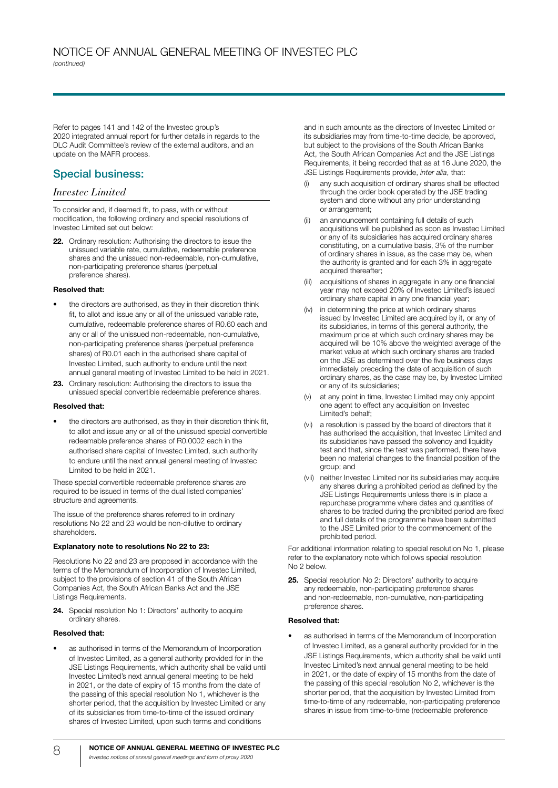Refer to pages 141 and 142 of the Investec group's 2020 integrated annual report for further details in regards to the DLC Audit Committee's review of the external auditors, and an update on the MAFR process.

## Special business:

## *Investec Limited*

To consider and, if deemed fit, to pass, with or without modification, the following ordinary and special resolutions of Investec Limited set out below:

22. Ordinary resolution: Authorising the directors to issue the unissued variable rate, cumulative, redeemable preference shares and the unissued non-redeemable, non-cumulative, non-participating preference shares (perpetual preference shares).

#### Resolved that:

- the directors are authorised, as they in their discretion think fit, to allot and issue any or all of the unissued variable rate, cumulative, redeemable preference shares of R0.60 each and any or all of the unissued non-redeemable, non-cumulative, non-participating preference shares (perpetual preference shares) of R0.01 each in the authorised share capital of Investec Limited, such authority to endure until the next annual general meeting of Investec Limited to be held in 2021.
- 23. Ordinary resolution: Authorising the directors to issue the unissued special convertible redeemable preference shares.

#### Resolved that:

the directors are authorised, as they in their discretion think fit, to allot and issue any or all of the unissued special convertible redeemable preference shares of R0.0002 each in the authorised share capital of Investec Limited, such authority to endure until the next annual general meeting of Investec Limited to be held in 2021.

These special convertible redeemable preference shares are required to be issued in terms of the dual listed companies' structure and agreements.

The issue of the preference shares referred to in ordinary resolutions No 22 and 23 would be non-dilutive to ordinary shareholders.

#### Explanatory note to resolutions No 22 to 23:

Resolutions No 22 and 23 are proposed in accordance with the terms of the Memorandum of Incorporation of Investec Limited, subject to the provisions of section 41 of the South African Companies Act, the South African Banks Act and the JSE Listings Requirements.

24. Special resolution No 1: Directors' authority to acquire ordinary shares.

#### Resolved that:

as authorised in terms of the Memorandum of Incorporation of Investec Limited, as a general authority provided for in the JSE Listings Requirements, which authority shall be valid until Investec Limited's next annual general meeting to be held in 2021, or the date of expiry of 15 months from the date of the passing of this special resolution No 1, whichever is the shorter period, that the acquisition by Investec Limited or any of its subsidiaries from time-to-time of the issued ordinary shares of Investec Limited, upon such terms and conditions

and in such amounts as the directors of Investec Limited or its subsidiaries may from time-to-time decide, be approved, but subject to the provisions of the South African Banks Act, the South African Companies Act and the JSE Listings Requirements, it being recorded that as at 16 June 2020, the JSE Listings Requirements provide, *inter alia*, that:

- any such acquisition of ordinary shares shall be effected through the order book operated by the JSE trading system and done without any prior understanding or arrangement;
- (ii) an announcement containing full details of such acquisitions will be published as soon as Investec Limited or any of its subsidiaries has acquired ordinary shares constituting, on a cumulative basis, 3% of the number of ordinary shares in issue, as the case may be, when the authority is granted and for each 3% in aggregate acquired thereafter;
- (iii) acquisitions of shares in aggregate in any one financial year may not exceed 20% of Investec Limited's issued ordinary share capital in any one financial year;
- (iv) in determining the price at which ordinary shares issued by Investec Limited are acquired by it, or any of its subsidiaries, in terms of this general authority, the maximum price at which such ordinary shares may be acquired will be 10% above the weighted average of the market value at which such ordinary shares are traded on the JSE as determined over the five business days immediately preceding the date of acquisition of such ordinary shares, as the case may be, by Investec Limited or any of its subsidiaries;
- (v) at any point in time, Investec Limited may only appoint one agent to effect any acquisition on Investec Limited's behalf;
- (vi) a resolution is passed by the board of directors that it has authorised the acquisition, that Investec Limited and its subsidiaries have passed the solvency and liquidity test and that, since the test was performed, there have been no material changes to the financial position of the group; and
- (vii) neither Investec Limited nor its subsidiaries may acquire any shares during a prohibited period as defined by the JSE Listings Requirements unless there is in place a repurchase programme where dates and quantities of shares to be traded during the prohibited period are fixed and full details of the programme have been submitted to the JSE Limited prior to the commencement of the prohibited period.

For additional information relating to special resolution No 1, please refer to the explanatory note which follows special resolution No 2 below.

25. Special resolution No 2: Directors' authority to acquire any redeemable, non-participating preference shares and non-redeemable, non-cumulative, non-participating preference shares.

#### Resolved that:

as authorised in terms of the Memorandum of Incorporation of Investec Limited, as a general authority provided for in the JSE Listings Requirements, which authority shall be valid until Investec Limited's next annual general meeting to be held in 2021, or the date of expiry of 15 months from the date of the passing of this special resolution No 2, whichever is the shorter period, that the acquisition by Investec Limited from time-to-time of any redeemable, non-participating preference shares in issue from time-to-time (redeemable preference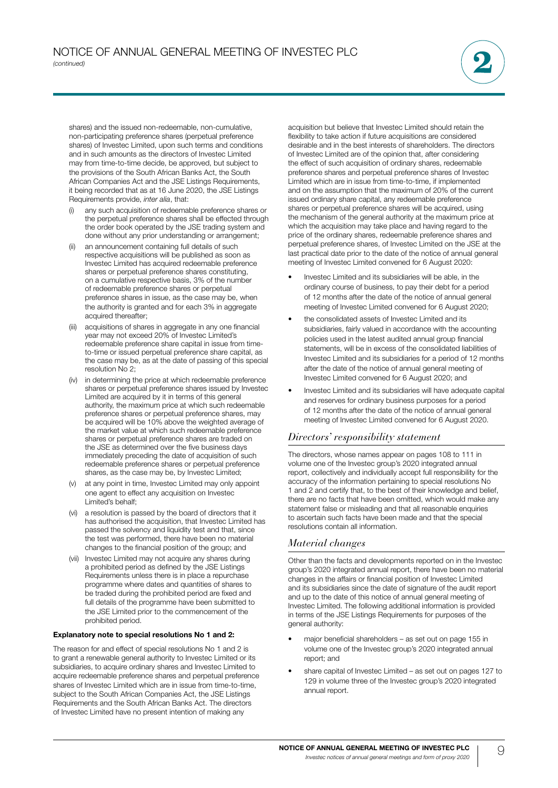shares) and the issued non-redeemable, non-cumulative, non-participating preference shares (perpetual preference shares) of Investec Limited, upon such terms and conditions and in such amounts as the directors of Investec Limited may from time-to-time decide, be approved, but subject to the provisions of the South African Banks Act, the South African Companies Act and the JSE Listings Requirements, it being recorded that as at 16 June 2020, the JSE Listings Requirements provide, *inter alia*, that:

- (i) any such acquisition of redeemable preference shares or the perpetual preference shares shall be effected through the order book operated by the JSE trading system and done without any prior understanding or arrangement;
- an announcement containing full details of such respective acquisitions will be published as soon as Investec Limited has acquired redeemable preference shares or perpetual preference shares constituting, on a cumulative respective basis, 3% of the number of redeemable preference shares or perpetual preference shares in issue, as the case may be, when the authority is granted and for each 3% in aggregate acquired thereafter;
- (iii) acquisitions of shares in aggregate in any one financial year may not exceed 20% of Investec Limited's redeemable preference share capital in issue from timeto-time or issued perpetual preference share capital, as the case may be, as at the date of passing of this special resolution No 2;
- (iv) in determining the price at which redeemable preference shares or perpetual preference shares issued by Investec Limited are acquired by it in terms of this general authority, the maximum price at which such redeemable preference shares or perpetual preference shares, may be acquired will be 10% above the weighted average of the market value at which such redeemable preference shares or perpetual preference shares are traded on the JSE as determined over the five business days immediately preceding the date of acquisition of such redeemable preference shares or perpetual preference shares, as the case may be, by Investec Limited;
- (v) at any point in time, Investec Limited may only appoint one agent to effect any acquisition on Investec Limited's behalf;
- (vi) a resolution is passed by the board of directors that it has authorised the acquisition, that Investec Limited has passed the solvency and liquidity test and that, since the test was performed, there have been no material changes to the financial position of the group; and
- (vii) Investec Limited may not acquire any shares during a prohibited period as defined by the JSE Listings Requirements unless there is in place a repurchase programme where dates and quantities of shares to be traded during the prohibited period are fixed and full details of the programme have been submitted to the JSE Limited prior to the commencement of the prohibited period.

#### Explanatory note to special resolutions No 1 and 2:

The reason for and effect of special resolutions No 1 and 2 is to grant a renewable general authority to Investec Limited or its subsidiaries, to acquire ordinary shares and Investec Limited to acquire redeemable preference shares and perpetual preference shares of Investec Limited which are in issue from time-to-time, subject to the South African Companies Act, the JSE Listings Requirements and the South African Banks Act. The directors of Investec Limited have no present intention of making any

acquisition but believe that Investec Limited should retain the flexibility to take action if future acquisitions are considered desirable and in the best interests of shareholders. The directors of Investec Limited are of the opinion that, after considering the effect of such acquisition of ordinary shares, redeemable preference shares and perpetual preference shares of Investec Limited which are in issue from time-to-time, if implemented and on the assumption that the maximum of 20% of the current issued ordinary share capital, any redeemable preference shares or perpetual preference shares will be acquired, using the mechanism of the general authority at the maximum price at which the acquisition may take place and having regard to the price of the ordinary shares, redeemable preference shares and perpetual preference shares, of Investec Limited on the JSE at the last practical date prior to the date of the notice of annual general meeting of Investec Limited convened for 6 August 2020:

- Investec Limited and its subsidiaries will be able, in the ordinary course of business, to pay their debt for a period of 12 months after the date of the notice of annual general meeting of Investec Limited convened for 6 August 2020;
- the consolidated assets of Investec Limited and its subsidiaries, fairly valued in accordance with the accounting policies used in the latest audited annual group financial statements, will be in excess of the consolidated liabilities of Investec Limited and its subsidiaries for a period of 12 months after the date of the notice of annual general meeting of Investec Limited convened for 6 August 2020; and
- Investec Limited and its subsidiaries will have adequate capital and reserves for ordinary business purposes for a period of 12 months after the date of the notice of annual general meeting of Investec Limited convened for 6 August 2020.

## *Directors' responsibility statement*

The directors, whose names appear on pages 108 to 111 in volume one of the Investec group's 2020 integrated annual report, collectively and individually accept full responsibility for the accuracy of the information pertaining to special resolutions No 1 and 2 and certify that, to the best of their knowledge and belief, there are no facts that have been omitted, which would make any statement false or misleading and that all reasonable enquiries to ascertain such facts have been made and that the special resolutions contain all information.

## *Material changes*

Other than the facts and developments reported on in the Investec group's 2020 integrated annual report, there have been no material changes in the affairs or financial position of Investec Limited and its subsidiaries since the date of signature of the audit report and up to the date of this notice of annual general meeting of Investec Limited. The following additional information is provided in terms of the JSE Listings Requirements for purposes of the general authority:

- major beneficial shareholders as set out on page 155 in volume one of the Investec group's 2020 integrated annual report; and
- share capital of Investec Limited as set out on pages 127 to 129 in volume three of the Investec group's 2020 integrated annual report.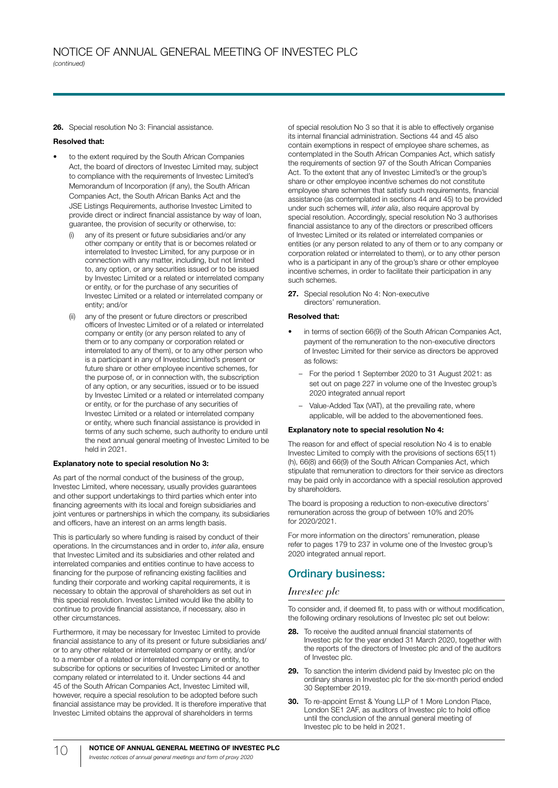#### 26. Special resolution No 3: Financial assistance.

#### Resolved that:

- to the extent required by the South African Companies Act, the board of directors of Investec Limited may, subject to compliance with the requirements of Investec Limited's Memorandum of Incorporation (if any), the South African Companies Act, the South African Banks Act and the JSE Listings Requirements, authorise Investec Limited to provide direct or indirect financial assistance by way of loan, guarantee, the provision of security or otherwise, to:
	- any of its present or future subsidiaries and/or any other company or entity that is or becomes related or interrelated to Investec Limited, for any purpose or in connection with any matter, including, but not limited to, any option, or any securities issued or to be issued by Investec Limited or a related or interrelated company or entity, or for the purchase of any securities of Investec Limited or a related or interrelated company or entity; and/or
	- (ii) any of the present or future directors or prescribed officers of Investec Limited or of a related or interrelated company or entity (or any person related to any of them or to any company or corporation related or interrelated to any of them), or to any other person who is a participant in any of Investec Limited's present or future share or other employee incentive schemes, for the purpose of, or in connection with, the subscription of any option, or any securities, issued or to be issued by Investec Limited or a related or interrelated company or entity, or for the purchase of any securities of Investec Limited or a related or interrelated company or entity, where such financial assistance is provided in terms of any such scheme, such authority to endure until the next annual general meeting of Investec Limited to be held in 2021.

#### Explanatory note to special resolution No 3:

As part of the normal conduct of the business of the group, Investec Limited, where necessary, usually provides guarantees and other support undertakings to third parties which enter into financing agreements with its local and foreign subsidiaries and joint ventures or partnerships in which the company, its subsidiaries and officers, have an interest on an arms length basis.

This is particularly so where funding is raised by conduct of their operations. In the circumstances and in order to, *inter alia*, ensure that Investec Limited and its subsidiaries and other related and interrelated companies and entities continue to have access to financing for the purpose of refinancing existing facilities and funding their corporate and working capital requirements, it is necessary to obtain the approval of shareholders as set out in this special resolution. Investec Limited would like the ability to continue to provide financial assistance, if necessary, also in other circumstances.

Furthermore, it may be necessary for Investec Limited to provide financial assistance to any of its present or future subsidiaries and/ or to any other related or interrelated company or entity, and/or to a member of a related or interrelated company or entity, to subscribe for options or securities of Investec Limited or another company related or interrelated to it. Under sections 44 and 45 of the South African Companies Act, Investec Limited will, however, require a special resolution to be adopted before such financial assistance may be provided. It is therefore imperative that Investec Limited obtains the approval of shareholders in terms

of special resolution No 3 so that it is able to effectively organise its internal financial administration. Sections 44 and 45 also contain exemptions in respect of employee share schemes, as contemplated in the South African Companies Act, which satisfy the requirements of section 97 of the South African Companies Act. To the extent that any of Investec Limited's or the group's share or other employee incentive schemes do not constitute employee share schemes that satisfy such requirements, financial assistance (as contemplated in sections 44 and 45) to be provided under such schemes will, *inter alia*, also require approval by special resolution. Accordingly, special resolution No 3 authorises financial assistance to any of the directors or prescribed officers of Investec Limited or its related or interrelated companies or entities (or any person related to any of them or to any company or corporation related or interrelated to them), or to any other person who is a participant in any of the group's share or other employee incentive schemes, in order to facilitate their participation in any such schemes.

27. Special resolution No 4: Non-executive directors' remuneration.

#### Resolved that:

- in terms of section 66(9) of the South African Companies Act, payment of the remuneration to the non-executive directors of Investec Limited for their service as directors be approved as follows:
	- For the period 1 September 2020 to 31 August 2021: as set out on page 227 in volume one of the Investec group's 2020 integrated annual report
	- Value-Added Tax (VAT), at the prevailing rate, where applicable, will be added to the abovementioned fees.

#### Explanatory note to special resolution No 4:

The reason for and effect of special resolution No 4 is to enable Investec Limited to comply with the provisions of sections 65(11) (h), 66(8) and 66(9) of the South African Companies Act, which stipulate that remuneration to directors for their service as directors may be paid only in accordance with a special resolution approved by shareholders.

The board is proposing a reduction to non-executive directors' remuneration across the group of between 10% and 20% for 2020/2021.

For more information on the directors' remuneration, please refer to pages 179 to 237 in volume one of the Investec group's 2020 integrated annual report.

## Ordinary business:

#### *Investec plc*

To consider and, if deemed fit, to pass with or without modification, the following ordinary resolutions of Investec plc set out below:

- 28. To receive the audited annual financial statements of Investec plc for the year ended 31 March 2020, together with the reports of the directors of Investec plc and of the auditors of Investec plc.
- 29. To sanction the interim dividend paid by Investec plc on the ordinary shares in Investec plc for the six-month period ended 30 September 2019.
- 30. To re-appoint Ernst & Young LLP of 1 More London Place, London SE1 2AF, as auditors of Investec plc to hold office until the conclusion of the annual general meeting of Investec plc to be held in 2021.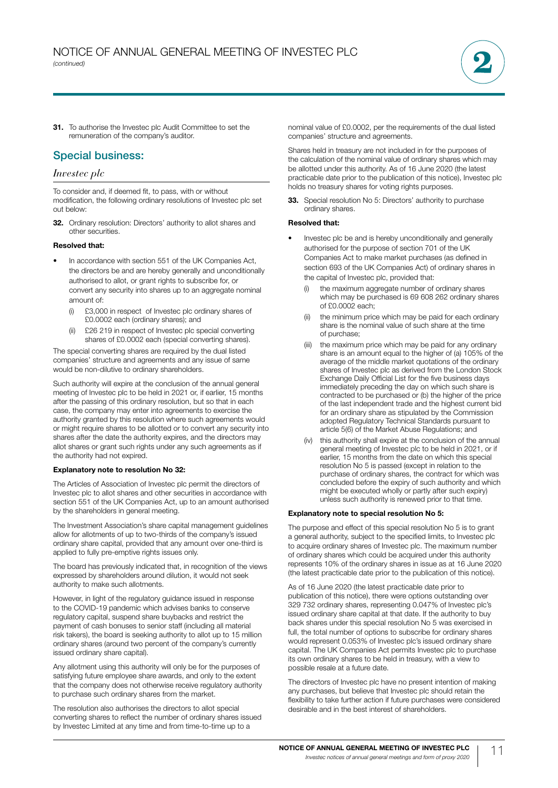

31. To authorise the Investec plc Audit Committee to set the remuneration of the company's auditor.

## Special business:

#### *Investec plc*

To consider and, if deemed fit, to pass, with or without modification, the following ordinary resolutions of Investec plc set out below:

32. Ordinary resolution: Directors' authority to allot shares and other securities.

#### Resolved that:

- In accordance with section 551 of the UK Companies Act, the directors be and are hereby generally and unconditionally authorised to allot, or grant rights to subscribe for, or convert any security into shares up to an aggregate nominal amount of:
	- (i) £3,000 in respect of Investec plc ordinary shares of £0.0002 each (ordinary shares); and
	- (ii) £26 219 in respect of Investec plc special converting shares of £0.0002 each (special converting shares).

The special converting shares are required by the dual listed companies' structure and agreements and any issue of same would be non-dilutive to ordinary shareholders.

Such authority will expire at the conclusion of the annual general meeting of Investec plc to be held in 2021 or, if earlier, 15 months after the passing of this ordinary resolution, but so that in each case, the company may enter into agreements to exercise the authority granted by this resolution where such agreements would or might require shares to be allotted or to convert any security into shares after the date the authority expires, and the directors may allot shares or grant such rights under any such agreements as if the authority had not expired.

#### Explanatory note to resolution No 32:

The Articles of Association of Investec plc permit the directors of Investec plc to allot shares and other securities in accordance with section 551 of the UK Companies Act, up to an amount authorised by the shareholders in general meeting.

The Investment Association's share capital management guidelines allow for allotments of up to two-thirds of the company's issued ordinary share capital, provided that any amount over one-third is applied to fully pre-emptive rights issues only.

The board has previously indicated that, in recognition of the views expressed by shareholders around dilution, it would not seek authority to make such allotments.

However, in light of the regulatory guidance issued in response to the COVID-19 pandemic which advises banks to conserve regulatory capital, suspend share buybacks and restrict the payment of cash bonuses to senior staff (including all material risk takers), the board is seeking authority to allot up to 15 million ordinary shares (around two percent of the company's currently issued ordinary share capital).

Any allotment using this authority will only be for the purposes of satisfying future employee share awards, and only to the extent that the company does not otherwise receive regulatory authority to purchase such ordinary shares from the market.

The resolution also authorises the directors to allot special converting shares to reflect the number of ordinary shares issued by Investec Limited at any time and from time-to-time up to a

nominal value of £0.0002, per the requirements of the dual listed companies' structure and agreements.

Shares held in treasury are not included in for the purposes of the calculation of the nominal value of ordinary shares which may be allotted under this authority. As of 16 June 2020 (the latest practicable date prior to the publication of this notice), Investec plc holds no treasury shares for voting rights purposes.

**33.** Special resolution No 5: Directors' authority to purchase ordinary shares.

#### Resolved that:

- Investec plc be and is hereby unconditionally and generally authorised for the purpose of section 701 of the UK Companies Act to make market purchases (as defined in section 693 of the UK Companies Act) of ordinary shares in the capital of Investec plc, provided that:
	- the maximum aggregate number of ordinary shares which may be purchased is 69 608 262 ordinary shares of £0.0002 each;
	- the minimum price which may be paid for each ordinary share is the nominal value of such share at the time of purchase;
	- (iii) the maximum price which may be paid for any ordinary share is an amount equal to the higher of (a) 105% of the average of the middle market quotations of the ordinary shares of Investec plc as derived from the London Stock Exchange Daily Official List for the five business days immediately preceding the day on which such share is contracted to be purchased or (b) the higher of the price of the last independent trade and the highest current bid for an ordinary share as stipulated by the Commission adopted Regulatory Technical Standards pursuant to article 5(6) of the Market Abuse Regulations; and
	- (iv) this authority shall expire at the conclusion of the annual general meeting of Investec plc to be held in 2021, or if earlier, 15 months from the date on which this special resolution No 5 is passed (except in relation to the purchase of ordinary shares, the contract for which was concluded before the expiry of such authority and which might be executed wholly or partly after such expiry) unless such authority is renewed prior to that time.

#### Explanatory note to special resolution No 5:

The purpose and effect of this special resolution No 5 is to grant a general authority, subject to the specified limits, to Investec plc to acquire ordinary shares of Investec plc. The maximum number of ordinary shares which could be acquired under this authority represents 10% of the ordinary shares in issue as at 16 June 2020 (the latest practicable date prior to the publication of this notice).

As of 16 June 2020 (the latest practicable date prior to publication of this notice), there were options outstanding over 329 732 ordinary shares, representing 0.047% of Investec plc's issued ordinary share capital at that date. If the authority to buy back shares under this special resolution No 5 was exercised in full, the total number of options to subscribe for ordinary shares would represent 0.053% of Investec plc's issued ordinary share capital. The UK Companies Act permits Investec plc to purchase its own ordinary shares to be held in treasury, with a view to possible resale at a future date.

The directors of Investec plc have no present intention of making any purchases, but believe that Investec plc should retain the flexibility to take further action if future purchases were considered desirable and in the best interest of shareholders.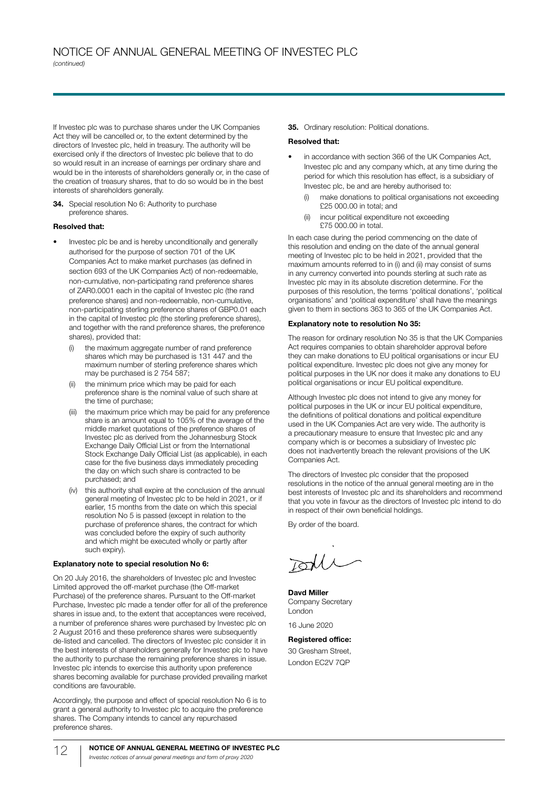If Investec plc was to purchase shares under the UK Companies Act they will be cancelled or, to the extent determined by the directors of Investec plc, held in treasury. The authority will be exercised only if the directors of Investec plc believe that to do so would result in an increase of earnings per ordinary share and would be in the interests of shareholders generally or, in the case of the creation of treasury shares, that to do so would be in the best interests of shareholders generally.

34. Special resolution No 6: Authority to purchase preference shares.

#### Resolved that:

- Investec plc be and is hereby unconditionally and generally authorised for the purpose of section 701 of the UK Companies Act to make market purchases (as defined in section 693 of the UK Companies Act) of non-redeemable. non-cumulative, non-participating rand preference shares of ZAR0.0001 each in the capital of Investec plc (the rand preference shares) and non-redeemable, non-cumulative, non-participating sterling preference shares of GBP0.01 each in the capital of Investec plc (the sterling preference shares), and together with the rand preference shares, the preference shares), provided that:
	- (i) the maximum aggregate number of rand preference shares which may be purchased is 131 447 and the maximum number of sterling preference shares which may be purchased is 2 754 587;
	- (ii) the minimum price which may be paid for each preference share is the nominal value of such share at the time of purchase;
	- (iii) the maximum price which may be paid for any preference share is an amount equal to 105% of the average of the middle market quotations of the preference shares of Investec plc as derived from the Johannesburg Stock Exchange Daily Official List or from the International Stock Exchange Daily Official List (as applicable), in each case for the five business days immediately preceding the day on which such share is contracted to be purchased; and
	- (iv) this authority shall expire at the conclusion of the annual general meeting of Investec plc to be held in 2021, or if earlier, 15 months from the date on which this special resolution No 5 is passed (except in relation to the purchase of preference shares, the contract for which was concluded before the expiry of such authority and which might be executed wholly or partly after such expiry).

#### Explanatory note to special resolution No 6:

On 20 July 2016, the shareholders of Investec plc and Investec Limited approved the off-market purchase (the Off-market Purchase) of the preference shares. Pursuant to the Off-market Purchase, Investec plc made a tender offer for all of the preference shares in issue and, to the extent that acceptances were received, a number of preference shares were purchased by Investec plc on 2 August 2016 and these preference shares were subsequently de-listed and cancelled. The directors of Investec plc consider it in the best interests of shareholders generally for Investec plc to have the authority to purchase the remaining preference shares in issue. Investec plc intends to exercise this authority upon preference shares becoming available for purchase provided prevailing market conditions are favourable.

Accordingly, the purpose and effect of special resolution No 6 is to grant a general authority to Investec plc to acquire the preference shares. The Company intends to cancel any repurchased preference shares.

**35.** Ordinary resolution: Political donations.

#### Resolved that:

- in accordance with section 366 of the UK Companies Act, Investec plc and any company which, at any time during the period for which this resolution has effect, is a subsidiary of Investec plc, be and are hereby authorised to:
	- (i) make donations to political organisations not exceeding £25 000.00 in total; and
	- incur political expenditure not exceeding £75 000.00 in total.

In each case during the period commencing on the date of this resolution and ending on the date of the annual general meeting of Investec plc to be held in 2021, provided that the maximum amounts referred to in (i) and (ii) may consist of sums in any currency converted into pounds sterling at such rate as Investec plc may in its absolute discretion determine. For the purposes of this resolution, the terms 'political donations', 'political organisations' and 'political expenditure' shall have the meanings given to them in sections 363 to 365 of the UK Companies Act.

#### Explanatory note to resolution No 35:

The reason for ordinary resolution No 35 is that the UK Companies Act requires companies to obtain shareholder approval before they can make donations to EU political organisations or incur EU political expenditure. Investec plc does not give any money for political purposes in the UK nor does it make any donations to EU political organisations or incur EU political expenditure.

Although Investec plc does not intend to give any money for political purposes in the UK or incur EU political expenditure, the definitions of political donations and political expenditure used in the UK Companies Act are very wide. The authority is a precautionary measure to ensure that Investec plc and any company which is or becomes a subsidiary of Investec plc does not inadvertently breach the relevant provisions of the UK Companies Act.

The directors of Investec plc consider that the proposed resolutions in the notice of the annual general meeting are in the best interests of Investec plc and its shareholders and recommend that you vote in favour as the directors of Investec plc intend to do in respect of their own beneficial holdings.

By order of the board.

Dolla

Davd Miller Company Secretary London

16 June 2020

## Registered office:

30 Gresham Street, London EC2V 7QP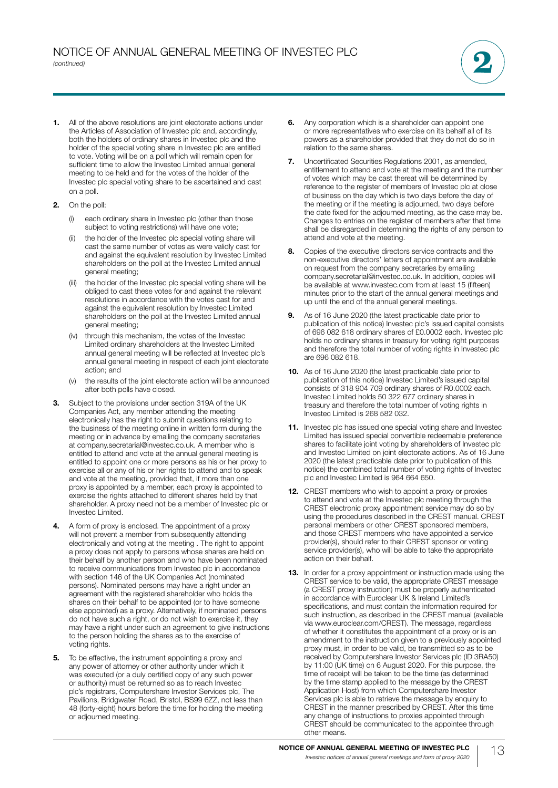

- 1. All of the above resolutions are joint electorate actions under the Articles of Association of Investec plc and, accordingly, both the holders of ordinary shares in Investec plc and the holder of the special voting share in Investec plc are entitled to vote. Voting will be on a poll which will remain open for sufficient time to allow the Investec Limited annual general meeting to be held and for the votes of the holder of the Investec plc special voting share to be ascertained and cast on a poll.
- 2. On the poll:
	- (i) each ordinary share in Investec plc (other than those subject to voting restrictions) will have one vote;
	- (ii) the holder of the Investec plc special voting share will cast the same number of votes as were validly cast for and against the equivalent resolution by Investec Limited shareholders on the poll at the Investec Limited annual general meeting;
	- (iii) the holder of the Investec plc special voting share will be obliged to cast these votes for and against the relevant resolutions in accordance with the votes cast for and against the equivalent resolution by Investec Limited shareholders on the poll at the Investec Limited annual general meeting;
	- (iv) through this mechanism, the votes of the Investec Limited ordinary shareholders at the Investec Limited annual general meeting will be reflected at Investec plc's annual general meeting in respect of each joint electorate action; and
	- (v) the results of the joint electorate action will be announced after both polls have closed.
- **3.** Subject to the provisions under section 319A of the UK Companies Act, any member attending the meeting electronically has the right to submit questions relating to the business of the meeting online in written form during the meeting or in advance by emailing the company secretaries at company.secretarial@investec.co.uk. A member who is entitled to attend and vote at the annual general meeting is entitled to appoint one or more persons as his or her proxy to exercise all or any of his or her rights to attend and to speak and vote at the meeting, provided that, if more than one proxy is appointed by a member, each proxy is appointed to exercise the rights attached to different shares held by that shareholder. A proxy need not be a member of Investec plc or Investec Limited.
- 4. A form of proxy is enclosed. The appointment of a proxy will not prevent a member from subsequently attending electronically and voting at the meeting . The right to appoint a proxy does not apply to persons whose shares are held on their behalf by another person and who have been nominated to receive communications from Investec plc in accordance with section 146 of the UK Companies Act (nominated persons). Nominated persons may have a right under an agreement with the registered shareholder who holds the shares on their behalf to be appointed (or to have someone else appointed) as a proxy. Alternatively, if nominated persons do not have such a right, or do not wish to exercise it, they may have a right under such an agreement to give instructions to the person holding the shares as to the exercise of voting rights.
- **5.** To be effective, the instrument appointing a proxy and any power of attorney or other authority under which it was executed (or a duly certified copy of any such power or authority) must be returned so as to reach Investec plc's registrars, Computershare Investor Services plc, The Pavilions, Bridgwater Road, Bristol, BS99 6ZZ, not less than 48 (forty-eight) hours before the time for holding the meeting or adjourned meeting.
- **6.** Any corporation which is a shareholder can appoint one or more representatives who exercise on its behalf all of its powers as a shareholder provided that they do not do so in relation to the same shares.
- 7. Uncertificated Securities Regulations 2001, as amended, entitlement to attend and vote at the meeting and the number of votes which may be cast thereat will be determined by reference to the register of members of Investec plc at close of business on the day which is two days before the day of the meeting or if the meeting is adjourned, two days before the date fixed for the adjourned meeting, as the case may be. Changes to entries on the register of members after that time shall be disregarded in determining the rights of any person to attend and vote at the meeting.
- 8. Copies of the executive directors service contracts and the non-executive directors' letters of appointment are available on request from the company secretaries by emailing company.secretarial@investec.co.uk. In addition, copies will be available at www.investec.com from at least 15 (fifteen) minutes prior to the start of the annual general meetings and up until the end of the annual general meetings.
- As of 16 June 2020 (the latest practicable date prior to publication of this notice) Investec plc's issued capital consists of 696 082 618 ordinary shares of £0.0002 each. Investec plc holds no ordinary shares in treasury for voting right purposes and therefore the total number of voting rights in Investec plc are 696 082 618.
- 10. As of 16 June 2020 (the latest practicable date prior to publication of this notice) Investec Limited's issued capital consists of 318 904 709 ordinary shares of R0.0002 each. Investec Limited holds 50 322 677 ordinary shares in treasury and therefore the total number of voting rights in Investec Limited is 268 582 032.
- 11. Investec plc has issued one special voting share and Investec Limited has issued special convertible redeemable preference shares to facilitate joint voting by shareholders of Investec plc and Investec Limited on joint electorate actions. As of 16 June 2020 (the latest practicable date prior to publication of this notice) the combined total number of voting rights of Investec plc and Investec Limited is 964 664 650.
- 12. CREST members who wish to appoint a proxy or proxies to attend and vote at the Investec plc meeting through the CREST electronic proxy appointment service may do so by using the procedures described in the CREST manual. CREST personal members or other CREST sponsored members, and those CREST members who have appointed a service provider(s), should refer to their CREST sponsor or voting service provider(s), who will be able to take the appropriate action on their behalf.
- **13.** In order for a proxy appointment or instruction made using the CREST service to be valid, the appropriate CREST message (a CREST proxy instruction) must be properly authenticated in accordance with Euroclear UK & Ireland Limited's specifications, and must contain the information required for such instruction, as described in the CREST manual (available via www.euroclear.com/CREST). The message, regardless of whether it constitutes the appointment of a proxy or is an amendment to the instruction given to a previously appointed proxy must, in order to be valid, be transmitted so as to be received by Computershare Investor Services plc (ID 3RA50) by 11:00 (UK time) on 6 August 2020. For this purpose, the time of receipt will be taken to be the time (as determined by the time stamp applied to the message by the CREST Application Host) from which Computershare Investor Services plc is able to retrieve the message by enquiry to CREST in the manner prescribed by CREST. After this time any change of instructions to proxies appointed through CREST should be communicated to the appointee through other means.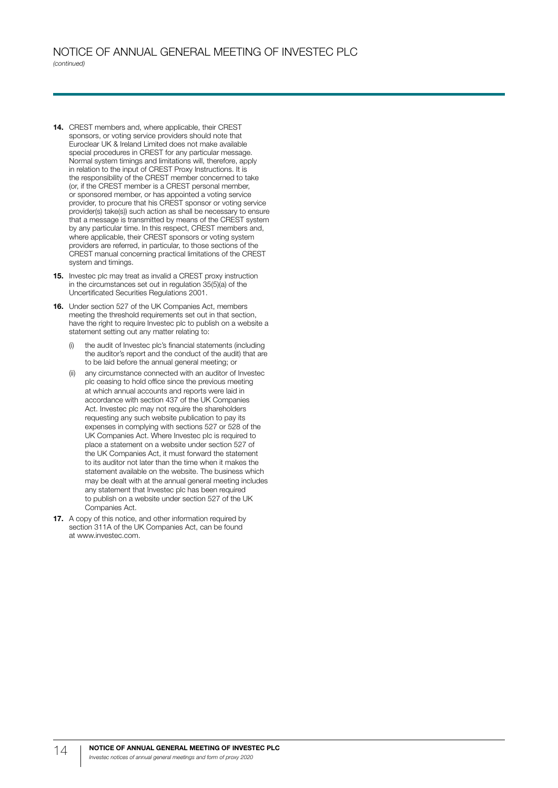- 14. CREST members and, where applicable, their CREST sponsors, or voting service providers should note that Euroclear UK & Ireland Limited does not make available special procedures in CREST for any particular message. Normal system timings and limitations will, therefore, apply in relation to the input of CREST Proxy Instructions. It is the responsibility of the CREST member concerned to take (or, if the CREST member is a CREST personal member, or sponsored member, or has appointed a voting service provider, to procure that his CREST sponsor or voting service provider(s) take(s)) such action as shall be necessary to ensure that a message is transmitted by means of the CREST system by any particular time. In this respect, CREST members and, where applicable, their CREST sponsors or voting system providers are referred, in particular, to those sections of the CREST manual concerning practical limitations of the CREST system and timings.
- 15. Investec plc may treat as invalid a CREST proxy instruction in the circumstances set out in regulation 35(5)(a) of the Uncertificated Securities Regulations 2001.
- 16. Under section 527 of the UK Companies Act, members meeting the threshold requirements set out in that section, have the right to require Investec plc to publish on a website a statement setting out any matter relating to:
	- (i) the audit of Investec plc's financial statements (including the auditor's report and the conduct of the audit) that are to be laid before the annual general meeting; or
	- (ii) any circumstance connected with an auditor of Investec plc ceasing to hold office since the previous meeting at which annual accounts and reports were laid in accordance with section 437 of the UK Companies Act. Investec plc may not require the shareholders requesting any such website publication to pay its expenses in complying with sections 527 or 528 of the UK Companies Act. Where Investec plc is required to place a statement on a website under section 527 of the UK Companies Act, it must forward the statement to its auditor not later than the time when it makes the statement available on the website. The business which may be dealt with at the annual general meeting includes any statement that Investec plc has been required to publish on a website under section 527 of the UK Companies Act.
- 17. A copy of this notice, and other information required by section 311A of the UK Companies Act, can be found at www.investec.com.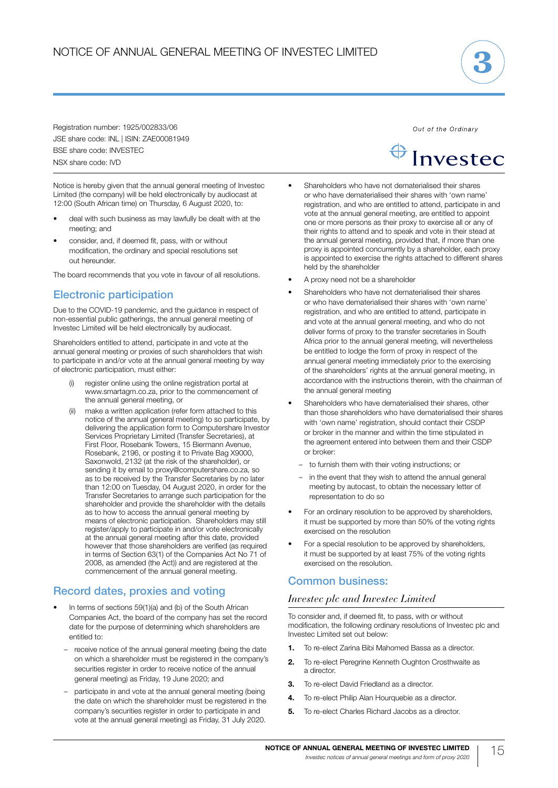Registration number: 1925/002833/06 JSE share code: INL | ISIN: ZAE00081949 BSE share code: INVESTEC NSX share code: IVD

Notice is hereby given that the annual general meeting of Investec Limited (the company) will be held electronically by audiocast at 12:00 (South African time) on Thursday, 6 August 2020, to:

- deal with such business as may lawfully be dealt with at the meeting; and
- consider, and, if deemed fit, pass, with or without modification, the ordinary and special resolutions set out hereunder.

The board recommends that you vote in favour of all resolutions.

## Electronic participation

Due to the COVID-19 pandemic, and the guidance in respect of non-essential public gatherings, the annual general meeting of Investec Limited will be held electronically by audiocast.

Shareholders entitled to attend, participate in and vote at the annual general meeting or proxies of such shareholders that wish to participate in and/or vote at the annual general meeting by way of electronic participation, must either:

- register online using the online registration portal at www.smartagm.co.za, prior to the commencement of the annual general meeting, or
- (ii) make a written application (refer form attached to this notice of the annual general meeting) to so participate, by delivering the application form to Computershare Investor Services Proprietary Limited (Transfer Secretaries), at First Floor, Rosebank Towers, 15 Biermann Avenue, Rosebank, 2196, or posting it to Private Bag X9000, Saxonwold, 2132 (at the risk of the shareholder), or sending it by email to proxy@computershare.co.za, so as to be received by the Transfer Secretaries by no later than 12:00 on Tuesday, 04 August 2020, in order for the Transfer Secretaries to arrange such participation for the shareholder and provide the shareholder with the details as to how to access the annual general meeting by means of electronic participation. Shareholders may still register/apply to participate in and/or vote electronically at the annual general meeting after this date, provided however that those shareholders are verified (as required in terms of Section 63(1) of the Companies Act No 71 of 2008, as amended (the Act)) and are registered at the commencement of the annual general meeting.

## Record dates, proxies and voting

- In terms of sections 59(1)(a) and (b) of the South African Companies Act, the board of the company has set the record date for the purpose of determining which shareholders are entitled to:
	- receive notice of the annual general meeting (being the date on which a shareholder must be registered in the company's securities register in order to receive notice of the annual general meeting) as Friday, 19 June 2020; and
	- participate in and vote at the annual general meeting (being the date on which the shareholder must be registered in the company's securities register in order to participate in and vote at the annual general meeting) as Friday, 31 July 2020.

Out of the Ordinary

## Investec

- Shareholders who have not dematerialised their shares or who have dematerialised their shares with 'own name' registration, and who are entitled to attend, participate in and vote at the annual general meeting, are entitled to appoint one or more persons as their proxy to exercise all or any of their rights to attend and to speak and vote in their stead at the annual general meeting, provided that, if more than one proxy is appointed concurrently by a shareholder, each proxy is appointed to exercise the rights attached to different shares held by the shareholder
- A proxy need not be a shareholder
- Shareholders who have not dematerialised their shares or who have dematerialised their shares with 'own name' registration, and who are entitled to attend, participate in and vote at the annual general meeting, and who do not deliver forms of proxy to the transfer secretaries in South Africa prior to the annual general meeting, will nevertheless be entitled to lodge the form of proxy in respect of the annual general meeting immediately prior to the exercising of the shareholders' rights at the annual general meeting, in accordance with the instructions therein, with the chairman of the annual general meeting
- Shareholders who have dematerialised their shares, other than those shareholders who have dematerialised their shares with 'own name' registration, should contact their CSDP or broker in the manner and within the time stipulated in the agreement entered into between them and their CSDP or broker:
	- to furnish them with their voting instructions; or
	- in the event that they wish to attend the annual general meeting by autocast, to obtain the necessary letter of representation to do so
- For an ordinary resolution to be approved by shareholders, it must be supported by more than 50% of the voting rights exercised on the resolution
- For a special resolution to be approved by shareholders, it must be supported by at least 75% of the voting rights exercised on the resolution.

## Common business:

## *Investec plc and Investec Limited*

To consider and, if deemed fit, to pass, with or without modification, the following ordinary resolutions of Investec plc and Investec Limited set out below:

- 1. To re-elect Zarina Bibi Mahomed Bassa as a director.
- 2. To re-elect Peregrine Kenneth Oughton Crosthwaite as a director.
- 3. To re-elect David Friedland as a director.
- 4. To re-elect Philip Alan Hourquebie as a director.
- 5. To re-elect Charles Richard Jacobs as a director.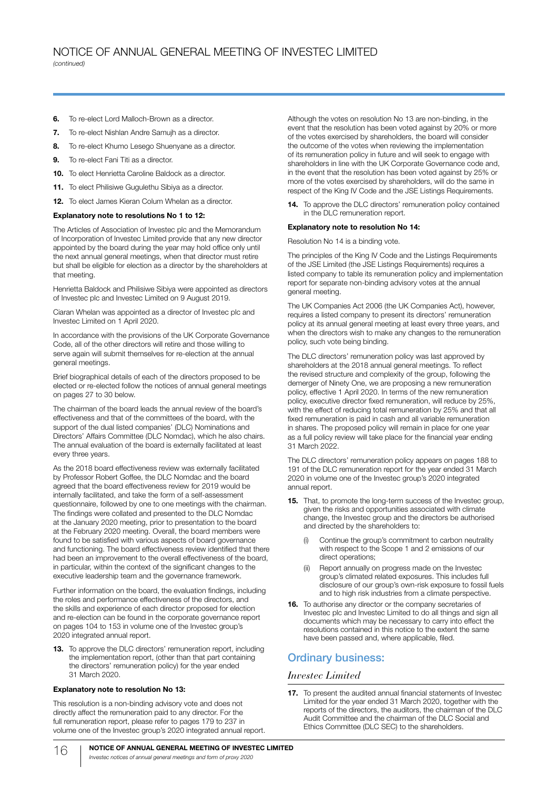- 6. To re-elect Lord Malloch-Brown as a director.
- 7. To re-elect Nishlan Andre Samujh as a director.
- 8. To re-elect Khumo Lesego Shuenyane as a director.
- 9. To re-elect Fani Titi as a director.
- 10. To elect Henrietta Caroline Baldock as a director.
- 11. To elect Philisiwe Gugulethu Sibiya as a director.
- 12. To elect James Kieran Colum Whelan as a director.

#### Explanatory note to resolutions No 1 to 12:

The Articles of Association of Investec plc and the Memorandum of Incorporation of Investec Limited provide that any new director appointed by the board during the year may hold office only until the next annual general meetings, when that director must retire but shall be eligible for election as a director by the shareholders at that meeting.

Henrietta Baldock and Philisiwe Sibiya were appointed as directors of Investec plc and Investec Limited on 9 August 2019.

Ciaran Whelan was appointed as a director of Investec plc and Investec Limited on 1 April 2020.

In accordance with the provisions of the UK Corporate Governance Code, all of the other directors will retire and those willing to serve again will submit themselves for re-election at the annual general meetings.

Brief biographical details of each of the directors proposed to be elected or re-elected follow the notices of annual general meetings on pages 27 to 30 below.

The chairman of the board leads the annual review of the board's effectiveness and that of the committees of the board, with the support of the dual listed companies' (DLC) Nominations and Directors' Affairs Committee (DLC Nomdac), which he also chairs. The annual evaluation of the board is externally facilitated at least every three years.

As the 2018 board effectiveness review was externally facilitated by Professor Robert Goffee, the DLC Nomdac and the board agreed that the board effectiveness review for 2019 would be internally facilitated, and take the form of a self-assessment questionnaire, followed by one to one meetings with the chairman. The findings were collated and presented to the DLC Nomdac at the January 2020 meeting, prior to presentation to the board at the February 2020 meeting. Overall, the board members were found to be satisfied with various aspects of board governance and functioning. The board effectiveness review identified that there had been an improvement to the overall effectiveness of the board, in particular, within the context of the significant changes to the executive leadership team and the governance framework.

Further information on the board, the evaluation findings, including the roles and performance effectiveness of the directors, and the skills and experience of each director proposed for election and re-election can be found in the corporate governance report on pages 104 to 153 in volume one of the Investec group's 2020 integrated annual report.

13. To approve the DLC directors' remuneration report, including the implementation report, (other than that part containing the directors' remuneration policy) for the year ended 31 March 2020.

#### Explanatory note to resolution No 13:

This resolution is a non-binding advisory vote and does not directly affect the remuneration paid to any director. For the full remuneration report, please refer to pages 179 to 237 in volume one of the Investec group's 2020 integrated annual report.

Although the votes on resolution No 13 are non-binding, in the event that the resolution has been voted against by 20% or more of the votes exercised by shareholders, the board will consider the outcome of the votes when reviewing the implementation of its remuneration policy in future and will seek to engage with shareholders in line with the UK Corporate Governance code and, in the event that the resolution has been voted against by 25% or more of the votes exercised by shareholders, will do the same in respect of the King IV Code and the JSE Listings Requirements.

14. To approve the DLC directors' remuneration policy contained in the DLC remuneration report.

#### Explanatory note to resolution No 14:

Resolution No 14 is a binding vote.

The principles of the King IV Code and the Listings Requirements of the JSE Limited (the JSE Listings Requirements) requires a listed company to table its remuneration policy and implementation report for separate non-binding advisory votes at the annual general meeting.

The UK Companies Act 2006 (the UK Companies Act), however, requires a listed company to present its directors' remuneration policy at its annual general meeting at least every three years, and when the directors wish to make any changes to the remuneration policy, such vote being binding.

The DLC directors' remuneration policy was last approved by shareholders at the 2018 annual general meetings. To reflect the revised structure and complexity of the group, following the demerger of Ninety One, we are proposing a new remuneration policy, effective 1 April 2020. In terms of the new remuneration policy, executive director fixed remuneration, will reduce by 25%, with the effect of reducing total remuneration by 25% and that all fixed remuneration is paid in cash and all variable remuneration in shares. The proposed policy will remain in place for one year as a full policy review will take place for the financial year ending 31 March 2022.

The DLC directors' remuneration policy appears on pages 188 to 191 of the DLC remuneration report for the year ended 31 March 2020 in volume one of the Investec group's 2020 integrated annual report.

- 15. That, to promote the long-term success of the Investec group, given the risks and opportunities associated with climate change, the Investec group and the directors be authorised and directed by the shareholders to:
	- (i) Continue the group's commitment to carbon neutrality with respect to the Scope 1 and 2 emissions of our direct operations;
	- (ii) Report annually on progress made on the Investec group's climated related exposures. This includes full disclosure of our group's own-risk exposure to fossil fuels and to high risk industries from a climate perspective.
- 16. To authorise any director or the company secretaries of Investec plc and Investec Limited to do all things and sign all documents which may be necessary to carry into effect the resolutions contained in this notice to the extent the same have been passed and, where applicable, filed.

## Ordinary business:

#### *Investec Limited*

17. To present the audited annual financial statements of Investec Limited for the year ended 31 March 2020, together with the reports of the directors, the auditors, the chairman of the DLC Audit Committee and the chairman of the DLC Social and Ethics Committee (DLC SEC) to the shareholders.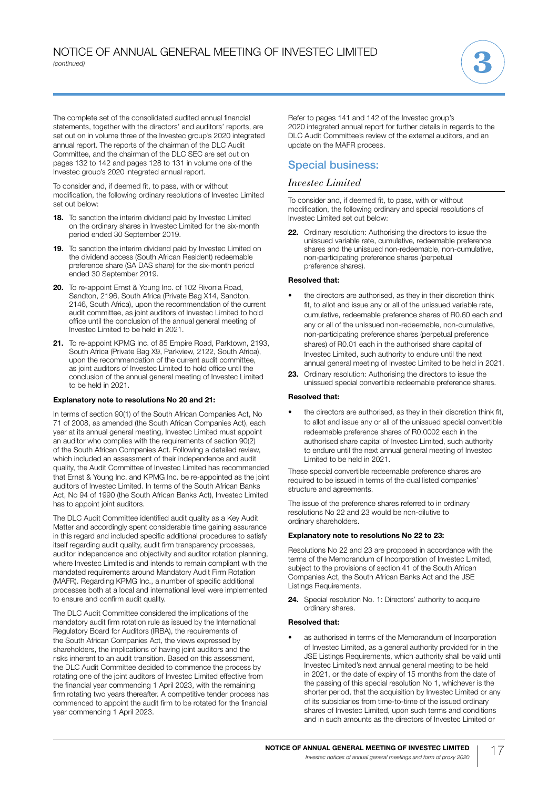

The complete set of the consolidated audited annual financial statements, together with the directors' and auditors' reports, are set out on in volume three of the Investec group's 2020 integrated annual report. The reports of the chairman of the DLC Audit Committee, and the chairman of the DLC SEC are set out on pages 132 to 142 and pages 128 to 131 in volume one of the Investec group's 2020 integrated annual report.

To consider and, if deemed fit, to pass, with or without modification, the following ordinary resolutions of Investec Limited set out below:

- 18. To sanction the interim dividend paid by Investec Limited on the ordinary shares in Investec Limited for the six-month period ended 30 September 2019.
- 19. To sanction the interim dividend paid by Investec Limited on the dividend access (South African Resident) redeemable preference share (SA DAS share) for the six-month period ended 30 September 2019.
- 20. To re-appoint Ernst & Young Inc. of 102 Rivonia Road, Sandton, 2196, South Africa (Private Bag X14, Sandton, 2146, South Africa), upon the recommendation of the current audit committee, as joint auditors of Investec Limited to hold office until the conclusion of the annual general meeting of Investec Limited to be held in 2021.
- 21. To re-appoint KPMG Inc. of 85 Empire Road, Parktown, 2193, South Africa (Private Bag X9, Parkview, 2122, South Africa), upon the recommendation of the current audit committee, as joint auditors of Investec Limited to hold office until the conclusion of the annual general meeting of Investec Limited to be held in 2021.

#### Explanatory note to resolutions No 20 and 21:

In terms of section 90(1) of the South African Companies Act, No 71 of 2008, as amended (the South African Companies Act), each year at its annual general meeting, Investec Limited must appoint an auditor who complies with the requirements of section 90(2) of the South African Companies Act. Following a detailed review, which included an assessment of their independence and audit quality, the Audit Committee of Investec Limited has recommended that Ernst & Young Inc. and KPMG Inc. be re-appointed as the joint auditors of Investec Limited. In terms of the South African Banks Act, No 94 of 1990 (the South African Banks Act), Investec Limited has to appoint joint auditors.

The DLC Audit Committee identified audit quality as a Key Audit Matter and accordingly spent considerable time gaining assurance in this regard and included specific additional procedures to satisfy itself regarding audit quality, audit firm transparency processes, auditor independence and objectivity and auditor rotation planning, where Investec Limited is and intends to remain compliant with the mandated requirements around Mandatory Audit Firm Rotation (MAFR). Regarding KPMG Inc., a number of specific additional processes both at a local and international level were implemented to ensure and confirm audit quality.

The DLC Audit Committee considered the implications of the mandatory audit firm rotation rule as issued by the International Regulatory Board for Auditors (IRBA), the requirements of the South African Companies Act, the views expressed by shareholders, the implications of having joint auditors and the risks inherent to an audit transition. Based on this assessment, the DLC Audit Committee decided to commence the process by rotating one of the joint auditors of Investec Limited effective from the financial year commencing 1 April 2023, with the remaining firm rotating two years thereafter. A competitive tender process has commenced to appoint the audit firm to be rotated for the financial year commencing 1 April 2023.

Refer to pages 141 and 142 of the Investec group's 2020 integrated annual report for further details in regards to the DLC Audit Committee's review of the external auditors, and an update on the MAFR process.

## Special business:

## *Investec Limited*

To consider and, if deemed fit, to pass, with or without modification, the following ordinary and special resolutions of Investec Limited set out below:

22. Ordinary resolution: Authorising the directors to issue the unissued variable rate, cumulative, redeemable preference shares and the unissued non-redeemable, non-cumulative, non-participating preference shares (perpetual preference shares).

#### Resolved that:

- the directors are authorised, as they in their discretion think fit, to allot and issue any or all of the unissued variable rate, cumulative, redeemable preference shares of R0.60 each and any or all of the unissued non-redeemable, non-cumulative, non-participating preference shares (perpetual preference shares) of R0.01 each in the authorised share capital of Investec Limited, such authority to endure until the next annual general meeting of Investec Limited to be held in 2021.
- 23. Ordinary resolution: Authorising the directors to issue the unissued special convertible redeemable preference shares.

#### Resolved that:

the directors are authorised, as they in their discretion think fit, to allot and issue any or all of the unissued special convertible redeemable preference shares of R0.0002 each in the authorised share capital of Investec Limited, such authority to endure until the next annual general meeting of Investec Limited to be held in 2021.

These special convertible redeemable preference shares are required to be issued in terms of the dual listed companies' structure and agreements.

The issue of the preference shares referred to in ordinary resolutions No 22 and 23 would be non-dilutive to ordinary shareholders.

#### Explanatory note to resolutions No 22 to 23:

Resolutions No 22 and 23 are proposed in accordance with the terms of the Memorandum of Incorporation of Investec Limited, subject to the provisions of section 41 of the South African Companies Act, the South African Banks Act and the JSE Listings Requirements.

24. Special resolution No. 1: Directors' authority to acquire ordinary shares.

#### Resolved that:

as authorised in terms of the Memorandum of Incorporation of Investec Limited, as a general authority provided for in the JSE Listings Requirements, which authority shall be valid until Investec Limited's next annual general meeting to be held in 2021, or the date of expiry of 15 months from the date of the passing of this special resolution No 1, whichever is the shorter period, that the acquisition by Investec Limited or any of its subsidiaries from time-to-time of the issued ordinary shares of Investec Limited, upon such terms and conditions and in such amounts as the directors of Investec Limited or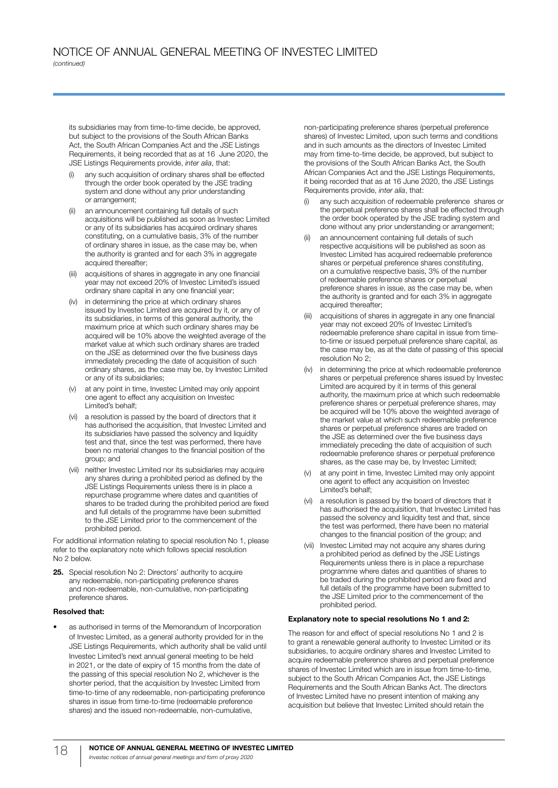its subsidiaries may from time-to-time decide, be approved, but subject to the provisions of the South African Banks Act, the South African Companies Act and the JSE Listings Requirements, it being recorded that as at 16 June 2020, the JSE Listings Requirements provide, *inter alia*, that:

- any such acquisition of ordinary shares shall be effected through the order book operated by the JSE trading system and done without any prior understanding or arrangement;
- (ii) an announcement containing full details of such acquisitions will be published as soon as Investec Limited or any of its subsidiaries has acquired ordinary shares constituting, on a cumulative basis, 3% of the number of ordinary shares in issue, as the case may be, when the authority is granted and for each 3% in aggregate acquired thereafter;
- (iii) acquisitions of shares in aggregate in any one financial year may not exceed 20% of Investec Limited's issued ordinary share capital in any one financial year;
- (iv) in determining the price at which ordinary shares issued by Investec Limited are acquired by it, or any of its subsidiaries, in terms of this general authority, the maximum price at which such ordinary shares may be acquired will be 10% above the weighted average of the market value at which such ordinary shares are traded on the JSE as determined over the five business days immediately preceding the date of acquisition of such ordinary shares, as the case may be, by Investec Limited or any of its subsidiaries;
- (v) at any point in time, Investec Limited may only appoint one agent to effect any acquisition on Investec Limited's behalf;
- (vi) a resolution is passed by the board of directors that it has authorised the acquisition, that Investec Limited and its subsidiaries have passed the solvency and liquidity test and that, since the test was performed, there have been no material changes to the financial position of the group; and
- (vii) neither Investec Limited nor its subsidiaries may acquire any shares during a prohibited period as defined by the JSE Listings Requirements unless there is in place a repurchase programme where dates and quantities of shares to be traded during the prohibited period are fixed and full details of the programme have been submitted to the JSE Limited prior to the commencement of the prohibited period.

For additional information relating to special resolution No 1, please refer to the explanatory note which follows special resolution No 2 below.

25. Special resolution No 2: Directors' authority to acquire any redeemable, non-participating preference shares and non-redeemable, non-cumulative, non-participating preference shares.

#### Resolved that:

as authorised in terms of the Memorandum of Incorporation of Investec Limited, as a general authority provided for in the JSE Listings Requirements, which authority shall be valid until Investec Limited's next annual general meeting to be held in 2021, or the date of expiry of 15 months from the date of the passing of this special resolution No 2, whichever is the shorter period, that the acquisition by Investec Limited from time-to-time of any redeemable, non-participating preference shares in issue from time-to-time (redeemable preference shares) and the issued non-redeemable, non-cumulative,

non-participating preference shares (perpetual preference shares) of Investec Limited, upon such terms and conditions and in such amounts as the directors of Investec Limited may from time-to-time decide, be approved, but subject to the provisions of the South African Banks Act, the South African Companies Act and the JSE Listings Requirements, it being recorded that as at 16 June 2020, the JSE Listings Requirements provide, *inter alia*, that:

- any such acquisition of redeemable preference shares or the perpetual preference shares shall be effected through the order book operated by the JSE trading system and done without any prior understanding or arrangement;
- an announcement containing full details of such respective acquisitions will be published as soon as Investec Limited has acquired redeemable preference shares or perpetual preference shares constituting, on a cumulative respective basis, 3% of the number of redeemable preference shares or perpetual preference shares in issue, as the case may be, when the authority is granted and for each 3% in aggregate acquired thereafter;
- (iii) acquisitions of shares in aggregate in any one financial year may not exceed 20% of Investec Limited's redeemable preference share capital in issue from timeto-time or issued perpetual preference share capital, as the case may be, as at the date of passing of this special resolution  $N_0$  2;
- (iv) in determining the price at which redeemable preference shares or perpetual preference shares issued by Investec Limited are acquired by it in terms of this general authority, the maximum price at which such redeemable preference shares or perpetual preference shares, may be acquired will be 10% above the weighted average of the market value at which such redeemable preference shares or perpetual preference shares are traded on the JSE as determined over the five business days immediately preceding the date of acquisition of such redeemable preference shares or perpetual preference shares, as the case may be, by Investec Limited;
- (v) at any point in time, Investec Limited may only appoint one agent to effect any acquisition on Investec Limited's behalf;
- (vi) a resolution is passed by the board of directors that it has authorised the acquisition, that Investec Limited has passed the solvency and liquidity test and that, since the test was performed, there have been no material changes to the financial position of the group; and
- (vii) Investec Limited may not acquire any shares during a prohibited period as defined by the JSE Listings Requirements unless there is in place a repurchase programme where dates and quantities of shares to be traded during the prohibited period are fixed and full details of the programme have been submitted to the JSE Limited prior to the commencement of the prohibited period.

#### Explanatory note to special resolutions No 1 and 2:

The reason for and effect of special resolutions No 1 and 2 is to grant a renewable general authority to Investec Limited or its subsidiaries, to acquire ordinary shares and Investec Limited to acquire redeemable preference shares and perpetual preference shares of Investec Limited which are in issue from time-to-time, subject to the South African Companies Act, the JSE Listings Requirements and the South African Banks Act. The directors of Investec Limited have no present intention of making any acquisition but believe that Investec Limited should retain the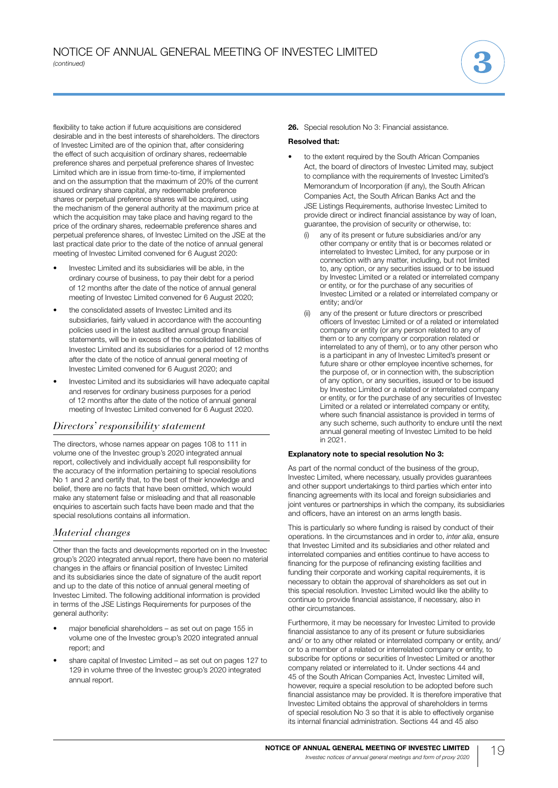flexibility to take action if future acquisitions are considered desirable and in the best interests of shareholders. The directors of Investec Limited are of the opinion that, after considering the effect of such acquisition of ordinary shares, redeemable preference shares and perpetual preference shares of Investec Limited which are in issue from time-to-time, if implemented and on the assumption that the maximum of 20% of the current issued ordinary share capital, any redeemable preference shares or perpetual preference shares will be acquired, using the mechanism of the general authority at the maximum price at which the acquisition may take place and having regard to the price of the ordinary shares, redeemable preference shares and perpetual preference shares, of Investec Limited on the JSE at the last practical date prior to the date of the notice of annual general meeting of Investec Limited convened for 6 August 2020:

- Investec Limited and its subsidiaries will be able, in the ordinary course of business, to pay their debt for a period of 12 months after the date of the notice of annual general meeting of Investec Limited convened for 6 August 2020;
- the consolidated assets of Investec Limited and its subsidiaries, fairly valued in accordance with the accounting policies used in the latest audited annual group financial statements, will be in excess of the consolidated liabilities of Investec Limited and its subsidiaries for a period of 12 months after the date of the notice of annual general meeting of Investec Limited convened for 6 August 2020; and
- Investec Limited and its subsidiaries will have adequate capital and reserves for ordinary business purposes for a period of 12 months after the date of the notice of annual general meeting of Investec Limited convened for 6 August 2020.

## *Directors' responsibility statement*

The directors, whose names appear on pages 108 to 111 in volume one of the Investec group's 2020 integrated annual report, collectively and individually accept full responsibility for the accuracy of the information pertaining to special resolutions No 1 and 2 and certify that, to the best of their knowledge and belief, there are no facts that have been omitted, which would make any statement false or misleading and that all reasonable enquiries to ascertain such facts have been made and that the special resolutions contains all information.

## *Material changes*

Other than the facts and developments reported on in the Investec group's 2020 integrated annual report, there have been no material changes in the affairs or financial position of Investec Limited and its subsidiaries since the date of signature of the audit report and up to the date of this notice of annual general meeting of Investec Limited. The following additional information is provided in terms of the JSE Listings Requirements for purposes of the general authority:

- major beneficial shareholders as set out on page 155 in volume one of the Investec group's 2020 integrated annual report; and
- share capital of Investec Limited as set out on pages 127 to 129 in volume three of the Investec group's 2020 integrated annual report.

26. Special resolution No 3: Financial assistance.

#### Resolved that:

- to the extent required by the South African Companies Act, the board of directors of Investec Limited may, subject to compliance with the requirements of Investec Limited's Memorandum of Incorporation (if any), the South African Companies Act, the South African Banks Act and the JSE Listings Requirements, authorise Investec Limited to provide direct or indirect financial assistance by way of loan, guarantee, the provision of security or otherwise, to:
	- any of its present or future subsidiaries and/or any other company or entity that is or becomes related or interrelated to Investec Limited, for any purpose or in connection with any matter, including, but not limited to, any option, or any securities issued or to be issued by Investec Limited or a related or interrelated company or entity, or for the purchase of any securities of Investec Limited or a related or interrelated company or entity; and/or
	- (ii) any of the present or future directors or prescribed officers of Investec Limited or of a related or interrelated company or entity (or any person related to any of them or to any company or corporation related or interrelated to any of them), or to any other person who is a participant in any of Investec Limited's present or future share or other employee incentive schemes, for the purpose of, or in connection with, the subscription of any option, or any securities, issued or to be issued by Investec Limited or a related or interrelated company or entity, or for the purchase of any securities of Investec Limited or a related or interrelated company or entity, where such financial assistance is provided in terms of any such scheme, such authority to endure until the next annual general meeting of Investec Limited to be held in 2021.

#### Explanatory note to special resolution No 3:

As part of the normal conduct of the business of the group Investec Limited, where necessary, usually provides guarantees and other support undertakings to third parties which enter into financing agreements with its local and foreign subsidiaries and joint ventures or partnerships in which the company, its subsidiaries and officers, have an interest on an arms length basis.

This is particularly so where funding is raised by conduct of their operations. In the circumstances and in order to, *inter alia*, ensure that Investec Limited and its subsidiaries and other related and interrelated companies and entities continue to have access to financing for the purpose of refinancing existing facilities and funding their corporate and working capital requirements, it is necessary to obtain the approval of shareholders as set out in this special resolution. Investec Limited would like the ability to continue to provide financial assistance, if necessary, also in other circumstances.

Furthermore, it may be necessary for Investec Limited to provide financial assistance to any of its present or future subsidiaries and/ or to any other related or interrelated company or entity, and/ or to a member of a related or interrelated company or entity, to subscribe for options or securities of Investec Limited or another company related or interrelated to it. Under sections 44 and 45 of the South African Companies Act, Investec Limited will, however, require a special resolution to be adopted before such financial assistance may be provided. It is therefore imperative that Investec Limited obtains the approval of shareholders in terms of special resolution No 3 so that it is able to effectively organise its internal financial administration. Sections 44 and 45 also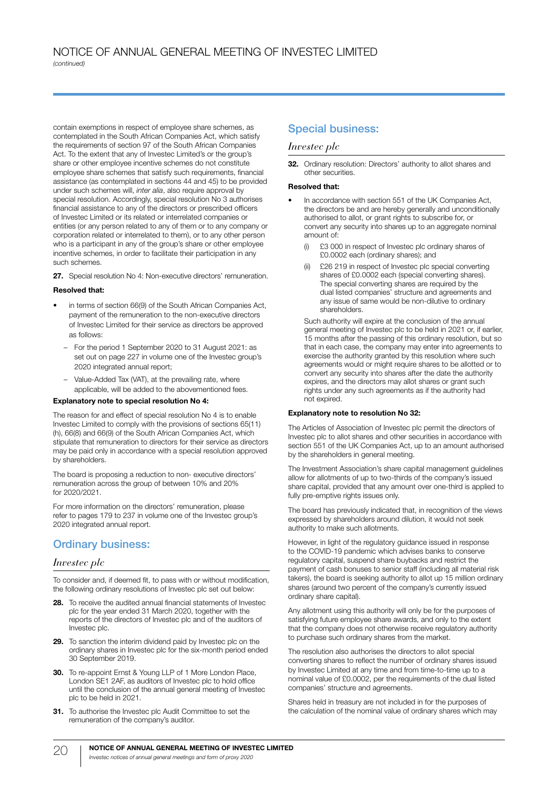contain exemptions in respect of employee share schemes, as contemplated in the South African Companies Act, which satisfy the requirements of section 97 of the South African Companies Act. To the extent that any of Investec Limited's or the group's share or other employee incentive schemes do not constitute employee share schemes that satisfy such requirements, financial assistance (as contemplated in sections 44 and 45) to be provided under such schemes will, *inter alia*, also require approval by special resolution. Accordingly, special resolution No 3 authorises financial assistance to any of the directors or prescribed officers of Investec Limited or its related or interrelated companies or entities (or any person related to any of them or to any company or corporation related or interrelated to them), or to any other person who is a participant in any of the group's share or other employee incentive schemes, in order to facilitate their participation in any such schemes.

27. Special resolution No 4: Non-executive directors' remuneration.

#### Resolved that:

- in terms of section 66(9) of the South African Companies Act, payment of the remuneration to the non-executive directors of Investec Limited for their service as directors be approved as follows:
	- For the period 1 September 2020 to 31 August 2021: as set out on page 227 in volume one of the Investec group's 2020 integrated annual report;
	- Value-Added Tax (VAT), at the prevailing rate, where applicable, will be added to the abovementioned fees.

#### Explanatory note to special resolution No 4:

The reason for and effect of special resolution No 4 is to enable Investec Limited to comply with the provisions of sections 65(11) (h), 66(8) and 66(9) of the South African Companies Act, which stipulate that remuneration to directors for their service as directors may be paid only in accordance with a special resolution approved by shareholders.

The board is proposing a reduction to non- executive directors' remuneration across the group of between 10% and 20% for 2020/2021.

For more information on the directors' remuneration, please refer to pages 179 to 237 in volume one of the Investec group's 2020 integrated annual report.

## Ordinary business:

#### *Investec plc*

To consider and, if deemed fit, to pass with or without modification, the following ordinary resolutions of Investec plc set out below:

- 28. To receive the audited annual financial statements of Investec plc for the year ended 31 March 2020, together with the reports of the directors of Investec plc and of the auditors of Investec plc.
- 29. To sanction the interim dividend paid by Investec plc on the ordinary shares in Investec plc for the six-month period ended 30 September 2019.
- 30. To re-appoint Ernst & Young LLP of 1 More London Place, London SE1 2AF, as auditors of Investec plc to hold office until the conclusion of the annual general meeting of Investec plc to be held in 2021.
- 31. To authorise the Investec plc Audit Committee to set the remuneration of the company's auditor.

## Special business:

#### *Investec plc*

32. Ordinary resolution: Directors' authority to allot shares and other securities.

#### Resolved that:

- In accordance with section 551 of the UK Companies Act, the directors be and are hereby generally and unconditionally authorised to allot, or grant rights to subscribe for, or convert any security into shares up to an aggregate nominal amount of:
	- £3 000 in respect of Investec plc ordinary shares of £0.0002 each (ordinary shares); and
	- £26 219 in respect of Investec plc special converting shares of £0.0002 each (special converting shares). The special converting shares are required by the dual listed companies' structure and agreements and any issue of same would be non-dilutive to ordinary shareholders.

Such authority will expire at the conclusion of the annual general meeting of Investec plc to be held in 2021 or, if earlier, 15 months after the passing of this ordinary resolution, but so that in each case, the company may enter into agreements to exercise the authority granted by this resolution where such agreements would or might require shares to be allotted or to convert any security into shares after the date the authority expires, and the directors may allot shares or grant such rights under any such agreements as if the authority had not expired.

#### Explanatory note to resolution No 32:

The Articles of Association of Investec plc permit the directors of Investec plc to allot shares and other securities in accordance with section 551 of the UK Companies Act, up to an amount authorised by the shareholders in general meeting.

The Investment Association's share capital management guidelines allow for allotments of up to two-thirds of the company's issued share capital, provided that any amount over one-third is applied to fully pre-emptive rights issues only.

The board has previously indicated that, in recognition of the views expressed by shareholders around dilution, it would not seek authority to make such allotments.

However, in light of the regulatory guidance issued in response to the COVID-19 pandemic which advises banks to conserve regulatory capital, suspend share buybacks and restrict the payment of cash bonuses to senior staff (including all material risk takers), the board is seeking authority to allot up 15 million ordinary shares (around two percent of the company's currently issued ordinary share capital).

Any allotment using this authority will only be for the purposes of satisfying future employee share awards, and only to the extent that the company does not otherwise receive regulatory authority to purchase such ordinary shares from the market.

The resolution also authorises the directors to allot special converting shares to reflect the number of ordinary shares issued by Investec Limited at any time and from time-to-time up to a nominal value of £0.0002, per the requirements of the dual listed companies' structure and agreements.

Shares held in treasury are not included in for the purposes of the calculation of the nominal value of ordinary shares which may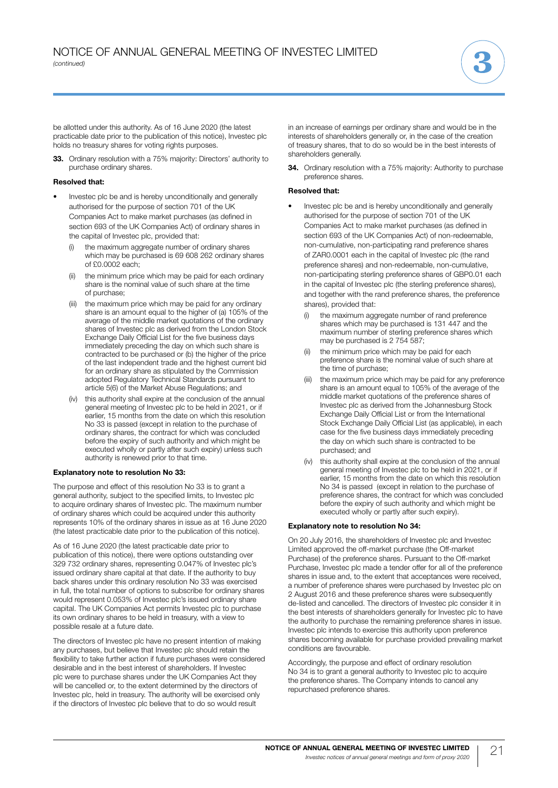be allotted under this authority. As of 16 June 2020 (the latest practicable date prior to the publication of this notice), Investec plc holds no treasury shares for voting rights purposes.

**33.** Ordinary resolution with a 75% majority: Directors' authority to purchase ordinary shares.

#### Resolved that:

- Investec plc be and is hereby unconditionally and generally authorised for the purpose of section 701 of the UK Companies Act to make market purchases (as defined in section 693 of the UK Companies Act) of ordinary shares in the capital of Investec plc, provided that:
	- (i) the maximum aggregate number of ordinary shares which may be purchased is 69 608 262 ordinary shares of £0.0002 each;
	- the minimum price which may be paid for each ordinary share is the nominal value of such share at the time of purchase;
	- (iii) the maximum price which may be paid for any ordinary share is an amount equal to the higher of (a) 105% of the average of the middle market quotations of the ordinary shares of Investec plc as derived from the London Stock Exchange Daily Official List for the five business days immediately preceding the day on which such share is contracted to be purchased or (b) the higher of the price of the last independent trade and the highest current bid for an ordinary share as stipulated by the Commission adopted Regulatory Technical Standards pursuant to article 5(6) of the Market Abuse Regulations; and
	- (iv) this authority shall expire at the conclusion of the annual general meeting of Investec plc to be held in 2021, or if earlier, 15 months from the date on which this resolution No 33 is passed (except in relation to the purchase of ordinary shares, the contract for which was concluded before the expiry of such authority and which might be executed wholly or partly after such expiry) unless such authority is renewed prior to that time.

#### Explanatory note to resolution No 33:

The purpose and effect of this resolution No 33 is to grant a general authority, subject to the specified limits, to Investec plc to acquire ordinary shares of Investec plc. The maximum number of ordinary shares which could be acquired under this authority represents 10% of the ordinary shares in issue as at 16 June 2020 (the latest practicable date prior to the publication of this notice).

As of 16 June 2020 (the latest practicable date prior to publication of this notice), there were options outstanding over 329 732 ordinary shares, representing 0.047% of Investec plc's issued ordinary share capital at that date. If the authority to buy back shares under this ordinary resolution No 33 was exercised in full, the total number of options to subscribe for ordinary shares would represent 0.053% of Investec plc's issued ordinary share capital. The UK Companies Act permits Investec plc to purchase its own ordinary shares to be held in treasury, with a view to possible resale at a future date.

The directors of Investec plc have no present intention of making any purchases, but believe that Investec plc should retain the flexibility to take further action if future purchases were considered desirable and in the best interest of shareholders. If Investec plc were to purchase shares under the UK Companies Act they will be cancelled or, to the extent determined by the directors of Investec plc, held in treasury. The authority will be exercised only if the directors of Investec plc believe that to do so would result

in an increase of earnings per ordinary share and would be in the interests of shareholders generally or, in the case of the creation of treasury shares, that to do so would be in the best interests of shareholders generally.

**34.** Ordinary resolution with a 75% majority: Authority to purchase preference shares.

#### Resolved that:

- Investec plc be and is hereby unconditionally and generally authorised for the purpose of section 701 of the UK Companies Act to make market purchases (as defined in section 693 of the UK Companies Act) of non-redeemable, non-cumulative, non-participating rand preference shares of ZAR0.0001 each in the capital of Investec plc (the rand preference shares) and non-redeemable, non-cumulative, non-participating sterling preference shares of GBP0.01 each in the capital of Investec plc (the sterling preference shares), and together with the rand preference shares, the preference shares), provided that:
	- the maximum aggregate number of rand preference shares which may be purchased is 131 447 and the maximum number of sterling preference shares which may be purchased is 2 754 587;
	- the minimum price which may be paid for each preference share is the nominal value of such share at the time of purchase;
	- (iii) the maximum price which may be paid for any preference share is an amount equal to 105% of the average of the middle market quotations of the preference shares of Investec plc as derived from the Johannesburg Stock Exchange Daily Official List or from the International Stock Exchange Daily Official List (as applicable), in each case for the five business days immediately preceding the day on which such share is contracted to be purchased; and
	- (iv) this authority shall expire at the conclusion of the annual general meeting of Investec plc to be held in 2021, or if earlier, 15 months from the date on which this resolution No 34 is passed (except in relation to the purchase of preference shares, the contract for which was concluded before the expiry of such authority and which might be executed wholly or partly after such expiry).

#### Explanatory note to resolution No 34:

On 20 July 2016, the shareholders of Investec plc and Investec Limited approved the off-market purchase (the Off-market Purchase) of the preference shares. Pursuant to the Off-market Purchase, Investec plc made a tender offer for all of the preference shares in issue and, to the extent that acceptances were received, a number of preference shares were purchased by Investec plc on 2 August 2016 and these preference shares were subsequently de-listed and cancelled. The directors of Investec plc consider it in the best interests of shareholders generally for Investec plc to have the authority to purchase the remaining preference shares in issue. Investec plc intends to exercise this authority upon preference shares becoming available for purchase provided prevailing market conditions are favourable.

Accordingly, the purpose and effect of ordinary resolution No 34 is to grant a general authority to Investec plc to acquire the preference shares. The Company intends to cancel any repurchased preference shares.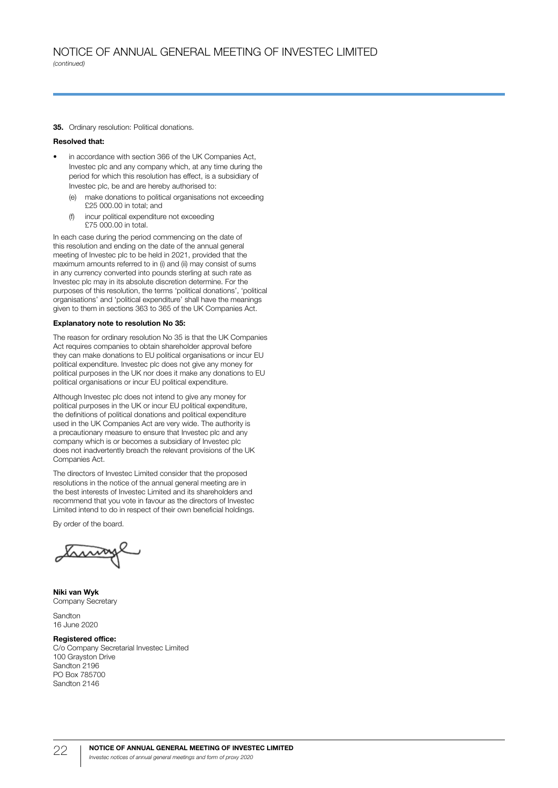**35.** Ordinary resolution: Political donations.

#### Resolved that:

- in accordance with section 366 of the UK Companies Act, Investec plc and any company which, at any time during the period for which this resolution has effect, is a subsidiary of Investec plc, be and are hereby authorised to:
	- (e) make donations to political organisations not exceeding £25 000.00 in total; and
	- (f) incur political expenditure not exceeding £75 000.00 in total.

In each case during the period commencing on the date of this resolution and ending on the date of the annual general meeting of Investec plc to be held in 2021, provided that the maximum amounts referred to in (i) and (ii) may consist of sums in any currency converted into pounds sterling at such rate as Investec plc may in its absolute discretion determine. For the purposes of this resolution, the terms 'political donations', 'political organisations' and 'political expenditure' shall have the meanings given to them in sections 363 to 365 of the UK Companies Act.

#### Explanatory note to resolution No 35:

The reason for ordinary resolution No 35 is that the UK Companies Act requires companies to obtain shareholder approval before they can make donations to EU political organisations or incur EU political expenditure. Investec plc does not give any money for political purposes in the UK nor does it make any donations to EU political organisations or incur EU political expenditure.

Although Investec plc does not intend to give any money for political purposes in the UK or incur EU political expenditure, the definitions of political donations and political expenditure used in the UK Companies Act are very wide. The authority is a precautionary measure to ensure that Investec plc and any company which is or becomes a subsidiary of Investec plc does not inadvertently breach the relevant provisions of the UK Companies Act.

The directors of Investec Limited consider that the proposed resolutions in the notice of the annual general meeting are in the best interests of Investec Limited and its shareholders and recommend that you vote in favour as the directors of Investec Limited intend to do in respect of their own beneficial holdings.

By order of the board.

Lamo

Niki van Wyk Company Secretary

Sandton 16 June 2020

Registered office: C/o Company Secretarial Investec Limited 100 Grayston Drive Sandton 2196 PO Box 785700 Sandton 2146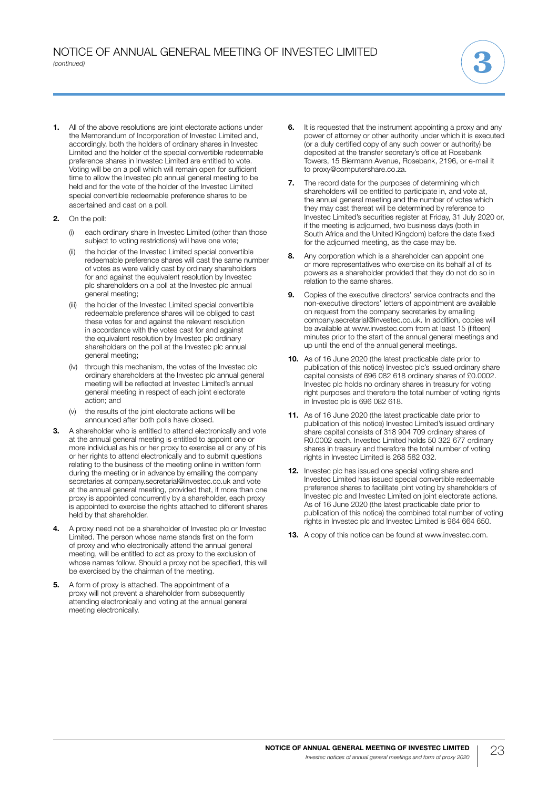

- 1. All of the above resolutions are joint electorate actions under the Memorandum of Incorporation of Investec Limited and, accordingly, both the holders of ordinary shares in Investec Limited and the holder of the special convertible redeemable preference shares in Investec Limited are entitled to vote. Voting will be on a poll which will remain open for sufficient time to allow the Investec plc annual general meeting to be held and for the vote of the holder of the Investec Limited special convertible redeemable preference shares to be ascertained and cast on a poll.
- 2. On the poll:
	- (i) each ordinary share in Investec Limited (other than those subject to voting restrictions) will have one vote;
	- (ii) the holder of the Investec Limited special convertible redeemable preference shares will cast the same number of votes as were validly cast by ordinary shareholders for and against the equivalent resolution by Investec plc shareholders on a poll at the Investec plc annual general meeting;
	- (iii) the holder of the Investec Limited special convertible redeemable preference shares will be obliged to cast these votes for and against the relevant resolution in accordance with the votes cast for and against the equivalent resolution by Investec plc ordinary shareholders on the poll at the Investec plc annual general meeting;
	- (iv) through this mechanism, the votes of the Investec plc ordinary shareholders at the Investec plc annual general meeting will be reflected at Investec Limited's annual general meeting in respect of each joint electorate action; and
	- (v) the results of the joint electorate actions will be announced after both polls have closed.
- **3.** A shareholder who is entitled to attend electronically and vote at the annual general meeting is entitled to appoint one or more individual as his or her proxy to exercise all or any of his or her rights to attend electronically and to submit questions relating to the business of the meeting online in written form during the meeting or in advance by emailing the company secretaries at company.secretarial@investec.co.uk and vote at the annual general meeting, provided that, if more than one proxy is appointed concurrently by a shareholder, each proxy is appointed to exercise the rights attached to different shares held by that shareholder.
- 4. A proxy need not be a shareholder of Investec plc or Investec Limited. The person whose name stands first on the form of proxy and who electronically attend the annual general meeting, will be entitled to act as proxy to the exclusion of whose names follow. Should a proxy not be specified, this will be exercised by the chairman of the meeting.
- **5.** A form of proxy is attached. The appointment of a proxy will not prevent a shareholder from subsequently attending electronically and voting at the annual general meeting electronically.
- 6. It is requested that the instrument appointing a proxy and any power of attorney or other authority under which it is executed (or a duly certified copy of any such power or authority) be deposited at the transfer secretary's office at Rosebank Towers, 15 Biermann Avenue, Rosebank, 2196, or e-mail it to proxy@computershare.co.za.
- The record date for the purposes of determining which shareholders will be entitled to participate in, and vote at, the annual general meeting and the number of votes which they may cast thereat will be determined by reference to Investec Limited's securities register at Friday, 31 July 2020 or, if the meeting is adjourned, two business days (both in South Africa and the United Kingdom) before the date fixed for the adjourned meeting, as the case may be.
- 8. Any corporation which is a shareholder can appoint one or more representatives who exercise on its behalf all of its powers as a shareholder provided that they do not do so in relation to the same shares.
- 9. Copies of the executive directors' service contracts and the non-executive directors' letters of appointment are available on request from the company secretaries by emailing company.secretarial@investec.co.uk. In addition, copies will be available at www.investec.com from at least 15 (fifteen) minutes prior to the start of the annual general meetings and up until the end of the annual general meetings.
- 10. As of 16 June 2020 (the latest practicable date prior to publication of this notice) Investec plc's issued ordinary share capital consists of 696 082 618 ordinary shares of £0.0002. Investec plc holds no ordinary shares in treasury for voting right purposes and therefore the total number of voting rights in Investec plc is 696 082 618.
- 11. As of 16 June 2020 (the latest practicable date prior to publication of this notice) Investec Limited's issued ordinary share capital consists of 318 904 709 ordinary shares of R0.0002 each. Investec Limited holds 50 322 677 ordinary shares in treasury and therefore the total number of voting rights in Investec Limited is 268 582 032.
- 12. Investec plc has issued one special voting share and Investec Limited has issued special convertible redeemable preference shares to facilitate joint voting by shareholders of Investec plc and Investec Limited on joint electorate actions. As of 16 June 2020 (the latest practicable date prior to publication of this notice) the combined total number of voting rights in Investec plc and Investec Limited is 964 664 650.
- 13. A copy of this notice can be found at www.investec.com.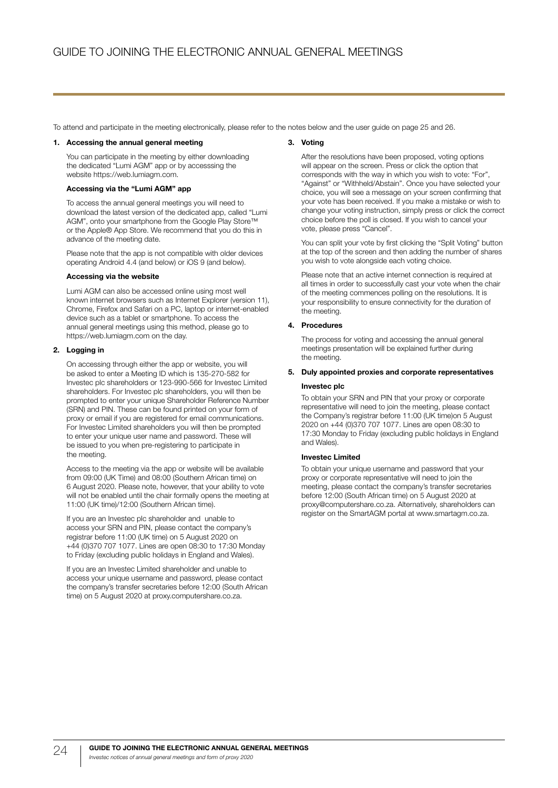To attend and participate in the meeting electronically, please refer to the notes below and the user guide on page 25 and 26.

#### 1. Accessing the annual general meeting

You can participate in the meeting by either downloading the dedicated "Lumi AGM" app or by accesssing the website https://web.lumiagm.com.

#### Accessing via the "Lumi AGM" app

To access the annual general meetings you will need to download the latest version of the dedicated app, called "Lumi AGM", onto your smartphone from the Google Play Store™ or the Apple® App Store. We recommend that you do this in advance of the meeting date.

Please note that the app is not compatible with older devices operating Android 4.4 (and below) or iOS 9 (and below).

#### Accessing via the website

Lumi AGM can also be accessed online using most well known internet browsers such as Internet Explorer (version 11), Chrome, Firefox and Safari on a PC, laptop or internet-enabled device such as a tablet or smartphone. To access the annual general meetings using this method, please go to https://web.lumiagm.com on the day.

#### 2. Logging in

On accessing through either the app or website, you will be asked to enter a Meeting ID which is 135-270-582 for Investec plc shareholders or 123-990-566 for Investec Limited shareholders. For Investec plc shareholders, you will then be prompted to enter your unique Shareholder Reference Number (SRN) and PIN. These can be found printed on your form of proxy or email if you are registered for email communications. For Investec Limited shareholders you will then be prompted to enter your unique user name and password. These will be issued to you when pre-registering to participate in the meeting.

Access to the meeting via the app or website will be available from 09:00 (UK Time) and 08:00 (Southern African time) on 6 August 2020. Please note, however, that your ability to vote will not be enabled until the chair formally opens the meeting at 11:00 (UK time)/12:00 (Southern African time).

If you are an Investec plc shareholder and unable to access your SRN and PIN, please contact the company's registrar before 11:00 (UK time) on 5 August 2020 on +44 (0)370 707 1077. Lines are open 08:30 to 17:30 Monday to Friday (excluding public holidays in England and Wales).

If you are an Investec Limited shareholder and unable to access your unique username and password, please contact the company's transfer secretaries before 12:00 (South African time) on 5 August 2020 at proxy.computershare.co.za.

#### 3. Voting

After the resolutions have been proposed, voting options will appear on the screen. Press or click the option that corresponds with the way in which you wish to vote: "For", "Against" or "Withheld/Abstain". Once you have selected your choice, you will see a message on your screen confirming that your vote has been received. If you make a mistake or wish to change your voting instruction, simply press or click the correct choice before the poll is closed. If you wish to cancel your vote, please press "Cancel".

You can split your vote by first clicking the "Split Voting" button at the top of the screen and then adding the number of shares you wish to vote alongside each voting choice.

Please note that an active internet connection is required at all times in order to successfully cast your vote when the chair of the meeting commences polling on the resolutions. It is your responsibility to ensure connectivity for the duration of the meeting.

#### 4. Procedures

The process for voting and accessing the annual general meetings presentation will be explained further during the meeting.

#### 5. Duly appointed proxies and corporate representatives

#### Investec plc

To obtain your SRN and PIN that your proxy or corporate representative will need to join the meeting, please contact the Company's registrar before 11:00 (UK time)on 5 August 2020 on +44 (0)370 707 1077. Lines are open 08:30 to 17:30 Monday to Friday (excluding public holidays in England and Wales).

#### Investec Limited

To obtain your unique username and password that your proxy or corporate representative will need to join the meeting, please contact the company's transfer secretaries before 12:00 (South African time) on 5 August 2020 at proxy@computershare.co.za. Alternatively, shareholders can register on the SmartAGM portal at www.smartagm.co.za.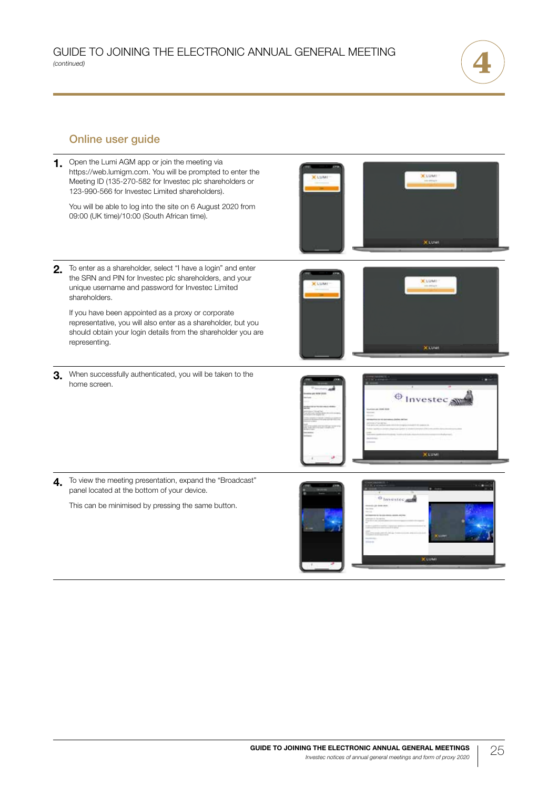

## Online user guide

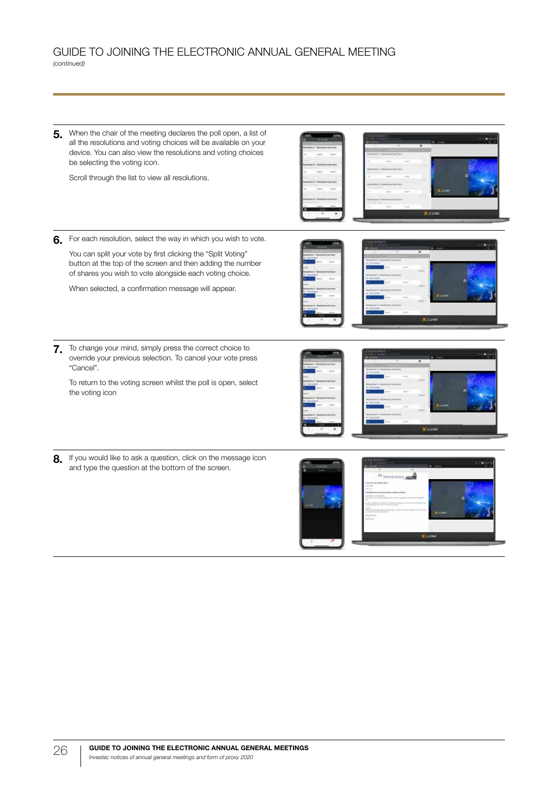## GUIDE TO JOINING THE ELECTRONIC ANNUAL GENERAL MEETING *(continued)*

5. When the chair of the meeting declares the poll open, a list of all the resolutions and voting choices will be available on your device. You can also view the resolutions and voting choices be selecting the voting icon.

Scroll through the list to view all resolutions.



6

5



6. For each resolution, select the way in which you wish to vote.

You can split your vote by first clicking the "Split Voting" button at the top of the screen and then adding the number of shares you wish to vote alongside each voting choice. 5

When selected, a confirmation message will appear.

7. To change your mind, simply press the correct choice to override your previous selection. To cancel your vote press "Cancel".

To return to the voting screen whilst the poll is open, select the voting icon

8. If you would like to ask a question, click on the message icon and type the question at the bottom of the screen.



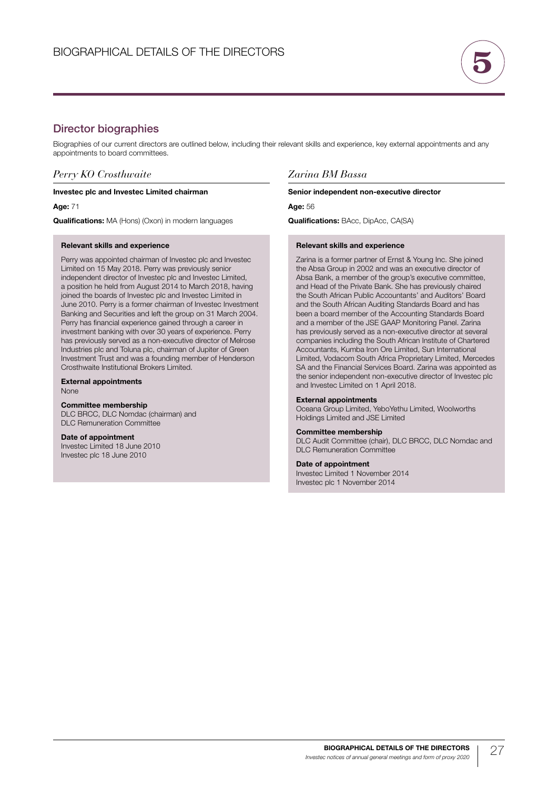

## Director biographies

Biographies of our current directors are outlined below, including their relevant skills and experience, key external appointments and any appointments to board committees.

## *Perry KO Crosthwaite*

#### Investec plc and Investec Limited chairman

Age: 71

Qualifications: MA (Hons) (Oxon) in modern languages

#### Relevant skills and experience

Perry was appointed chairman of Investec plc and Investec Limited on 15 May 2018. Perry was previously senior independent director of Investec plc and Investec Limited, a position he held from August 2014 to March 2018, having joined the boards of Investec plc and Investec Limited in June 2010. Perry is a former chairman of Investec Investment Banking and Securities and left the group on 31 March 2004. Perry has financial experience gained through a career in investment banking with over 30 years of experience. Perry has previously served as a non-executive director of Melrose Industries plc and Toluna plc, chairman of Jupiter of Green Investment Trust and was a founding member of Henderson Crosthwaite Institutional Brokers Limited.

External appointments None

#### Committee membership

DLC BRCC, DLC Nomdac (chairman) and DLC Remuneration Committee

#### Date of appointment

Investec Limited 18 June 2010 Investec plc 18 June 2010

## *Zarina BM Bassa*

#### Senior independent non-executive director

Age: 56

Qualifications: BAcc, DipAcc, CA(SA)

#### Relevant skills and experience

Zarina is a former partner of Ernst & Young Inc. She joined the Absa Group in 2002 and was an executive director of Absa Bank, a member of the group's executive committee, and Head of the Private Bank. She has previously chaired the South African Public Accountants' and Auditors' Board and the South African Auditing Standards Board and has been a board member of the Accounting Standards Board and a member of the JSE GAAP Monitoring Panel. Zarina has previously served as a non-executive director at several companies including the South African Institute of Chartered Accountants, Kumba Iron Ore Limited, Sun International Limited, Vodacom South Africa Proprietary Limited, Mercedes SA and the Financial Services Board. Zarina was appointed as the senior independent non-executive director of Investec plc and Investec Limited on 1 April 2018.

#### External appointments

Oceana Group Limited, YeboYethu Limited, Woolworths Holdings Limited and JSE Limited

#### Committee membership

DLC Audit Committee (chair), DLC BRCC, DLC Nomdac and DLC Remuneration Committee

#### Date of appointment

Investec Limited 1 November 2014 Investec plc 1 November 2014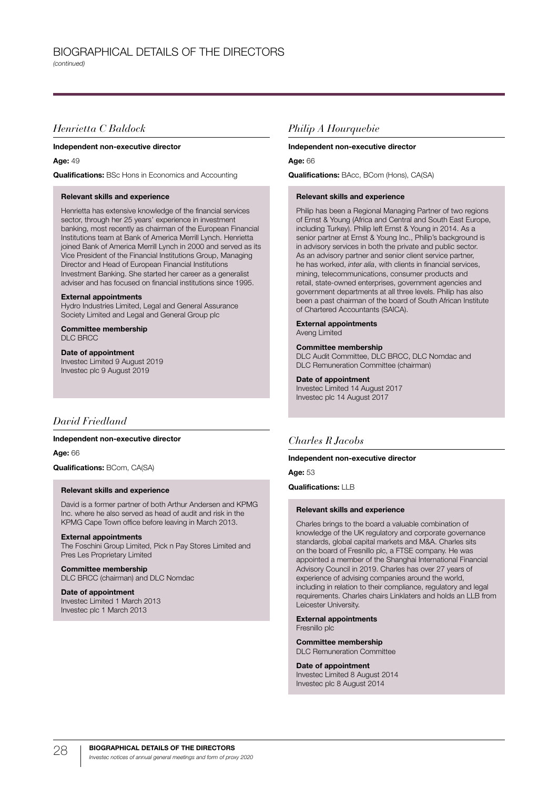## *Henrietta C Baldock*

#### Independent non-executive director

Age: 49

Qualifications: BSc Hons in Economics and Accounting

#### Relevant skills and experience

Henrietta has extensive knowledge of the financial services sector, through her 25 years' experience in investment banking, most recently as chairman of the European Financial Institutions team at Bank of America Merrill Lynch. Henrietta joined Bank of America Merrill Lynch in 2000 and served as its Vice President of the Financial Institutions Group, Managing Director and Head of European Financial Institutions Investment Banking. She started her career as a generalist adviser and has focused on financial institutions since 1995.

#### External appointments

Hydro Industries Limited, Legal and General Assurance Society Limited and Legal and General Group plc

#### Committee membership DLC BRCC

#### Date of appointment

Investec Limited 9 August 2019 Investec plc 9 August 2019

## *David Friedland*

#### Independent non-executive director

**Age: 66** 

Qualifications: BCom, CA(SA)

#### Relevant skills and experience

David is a former partner of both Arthur Andersen and KPMG Inc. where he also served as head of audit and risk in the KPMG Cape Town office before leaving in March 2013.

#### External appointments

The Foschini Group Limited, Pick n Pay Stores Limited and Pres Les Proprietary Limited

#### Committee membership

DLC BRCC (chairman) and DLC Nomdac

#### Date of appointment

Investec Limited 1 March 2013 Investec plc 1 March 2013

## *Philip A Hourquebie*

#### Independent non-executive director

#### Age: 66

Qualifications: BAcc, BCom (Hons), CA(SA)

#### Relevant skills and experience

Philip has been a Regional Managing Partner of two regions of Ernst & Young (Africa and Central and South East Europe, including Turkey). Philip left Ernst & Young in 2014. As a senior partner at Ernst & Young Inc., Philip's background is in advisory services in both the private and public sector. As an advisory partner and senior client service partner, he has worked, *inter alia*, with clients in financial services, mining, telecommunications, consumer products and retail, state-owned enterprises, government agencies and government departments at all three levels. Philip has also been a past chairman of the board of South African Institute of Chartered Accountants (SAICA).

#### External appointments

Aveng Limited

#### Committee membership

DLC Audit Committee, DLC BRCC, DLC Nomdac and DLC Remuneration Committee (chairman)

#### Date of appointment

Investec Limited 14 August 2017 Investec plc 14 August 2017

## *Charles R Jacobs*

#### Independent non-executive director

Age: 53

Qualifications: LLB

#### Relevant skills and experience

Charles brings to the board a valuable combination of knowledge of the UK regulatory and corporate governance standards, global capital markets and M&A. Charles sits on the board of Fresnillo plc, a FTSE company. He was appointed a member of the Shanghai International Financial Advisory Council in 2019. Charles has over 27 years of experience of advising companies around the world, including in relation to their compliance, regulatory and legal requirements. Charles chairs Linklaters and holds an LLB from Leicester University.

#### External appointments

Fresnillo plc

Committee membership DLC Remuneration Committee

#### Date of appointment

Investec Limited 8 August 2014 Investec plc 8 August 2014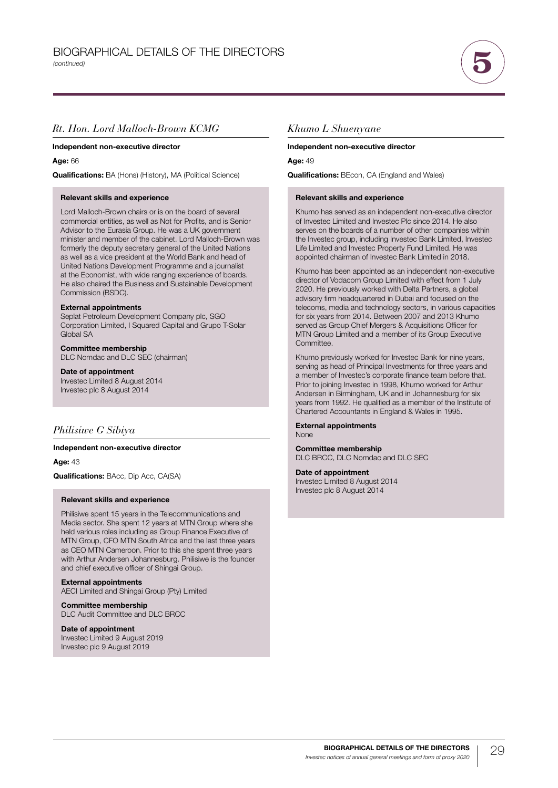

## *Rt. Hon. Lord Malloch-Brown KCMG*

#### Independent non-executive director

Age: 66

Qualifications: BA (Hons) (History), MA (Political Science)

#### Relevant skills and experience

Lord Malloch-Brown chairs or is on the board of several commercial entities, as well as Not for Profits, and is Senior Advisor to the Eurasia Group. He was a UK government minister and member of the cabinet. Lord Malloch-Brown was formerly the deputy secretary general of the United Nations as well as a vice president at the World Bank and head of United Nations Development Programme and a journalist at the Economist, with wide ranging experience of boards. He also chaired the Business and Sustainable Development Commission (BSDC).

#### External appointments

Seplat Petroleum Development Company plc, SGO Corporation Limited, I Squared Capital and Grupo T-Solar Global SA

#### Committee membership

DLC Nomdac and DLC SEC (chairman)

#### Date of appointment

Investec Limited 8 August 2014 Investec plc 8 August 2014

#### *Philisiwe G Sibiya*

#### Independent non-executive director

**Age: 43** 

Qualifications: BAcc, Dip Acc, CA(SA)

#### Relevant skills and experience

Philisiwe spent 15 years in the Telecommunications and Media sector. She spent 12 years at MTN Group where she held various roles including as Group Finance Executive of MTN Group, CFO MTN South Africa and the last three years as CEO MTN Cameroon. Prior to this she spent three years with Arthur Andersen Johannesburg. Philisiwe is the founder and chief executive officer of Shingai Group.

#### External appointments

AECI Limited and Shingai Group (Pty) Limited

#### Committee membership

DLC Audit Committee and DLC BRCC

Date of appointment Investec Limited 9 August 2019 Investec plc 9 August 2019

#### *Khumo L Shuenyane*

#### Independent non-executive director

#### Age: 49

Qualifications: BEcon, CA (England and Wales)

#### Relevant skills and experience

Khumo has served as an independent non-executive director of Investec Limited and Investec Plc since 2014. He also serves on the boards of a number of other companies within the Investec group, including Investec Bank Limited, Investec Life Limited and Investec Property Fund Limited. He was appointed chairman of Investec Bank Limited in 2018.

Khumo has been appointed as an independent non-executive director of Vodacom Group Limited with effect from 1 July 2020. He previously worked with Delta Partners, a global advisory firm headquartered in Dubai and focused on the telecoms, media and technology sectors, in various capacities for six years from 2014. Between 2007 and 2013 Khumo served as Group Chief Mergers & Acquisitions Officer for MTN Group Limited and a member of its Group Executive Committee.

Khumo previously worked for Investec Bank for nine years, serving as head of Principal Investments for three years and a member of Investec's corporate finance team before that. Prior to joining Investec in 1998, Khumo worked for Arthur Andersen in Birmingham, UK and in Johannesburg for six years from 1992. He qualified as a member of the Institute of Chartered Accountants in England & Wales in 1995.

#### External appointments None

Committee membership

DLC BRCC, DLC Nomdac and DLC SEC

#### Date of appointment

Investec Limited 8 August 2014 Investec plc 8 August 2014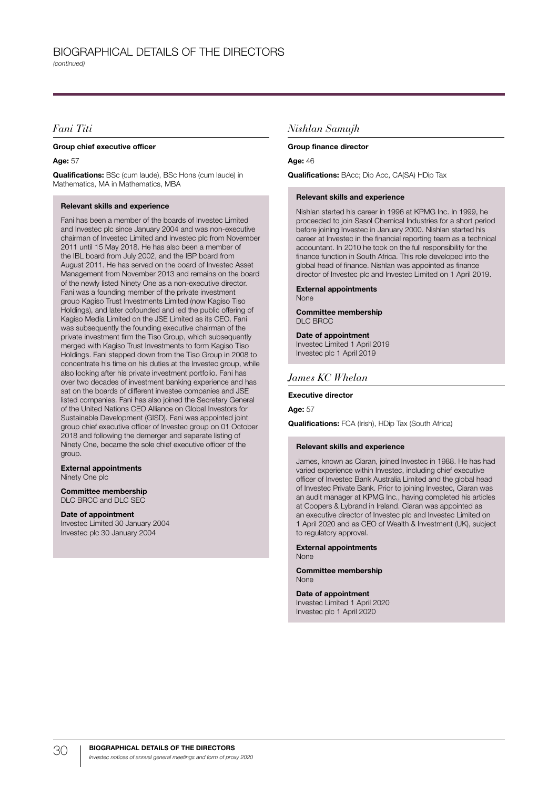## *Fani Titi*

#### Group chief executive officer

Age: 57

Qualifications: BSc (cum laude), BSc Hons (cum laude) in Mathematics, MA in Mathematics, MBA

#### Relevant skills and experience

Fani has been a member of the boards of Investec Limited and Investec plc since January 2004 and was non-executive chairman of Investec Limited and Investec plc from November 2011 until 15 May 2018. He has also been a member of the IBL board from July 2002, and the IBP board from August 2011. He has served on the board of Investec Asset Management from November 2013 and remains on the board of the newly listed Ninety One as a non-executive director. Fani was a founding member of the private investment group Kagiso Trust Investments Limited (now Kagiso Tiso Holdings), and later cofounded and led the public offering of Kagiso Media Limited on the JSE Limited as its CEO. Fani was subsequently the founding executive chairman of the private investment firm the Tiso Group, which subsequently merged with Kagiso Trust Investments to form Kagiso Tiso Holdings. Fani stepped down from the Tiso Group in 2008 to concentrate his time on his duties at the Investec group, while also looking after his private investment portfolio. Fani has over two decades of investment banking experience and has sat on the boards of different investee companies and JSE listed companies. Fani has also joined the Secretary General of the United Nations CEO Alliance on Global Investors for Sustainable Development (GISD). Fani was appointed joint group chief executive officer of Investec group on 01 October 2018 and following the demerger and separate listing of Ninety One, became the sole chief executive officer of the group.

External appointments Ninety One plc

Committee membership DLC BRCC and DLC SEC

#### Date of appointment

Investec Limited 30 January 2004 Investec plc 30 January 2004

## *Nishlan Samujh*

#### Group finance director

**Age: 46** 

Qualifications: BAcc; Dip Acc, CA(SA) HDip Tax

#### Relevant skills and experience

Nishlan started his career in 1996 at KPMG Inc. In 1999, he proceeded to join Sasol Chemical Industries for a short period before joining Investec in January 2000. Nishlan started his career at Investec in the financial reporting team as a technical accountant. In 2010 he took on the full responsibility for the finance function in South Africa. This role developed into the global head of finance. Nishlan was appointed as finance director of Investec plc and Investec Limited on 1 April 2019.

#### External appointments **None**

Committee membership DLC BRCC

Date of appointment Investec Limited 1 April 2019 Investec plc 1 April 2019

## *James KC Whelan*

#### Executive director

#### Age: 57

Qualifications: FCA (Irish), HDip Tax (South Africa)

#### Relevant skills and experience

James, known as Ciaran, joined Investec in 1988. He has had varied experience within Investec, including chief executive officer of Investec Bank Australia Limited and the global head of Investec Private Bank. Prior to joining Investec, Ciaran was an audit manager at KPMG Inc., having completed his articles at Coopers & Lybrand in Ireland. Ciaran was appointed as an executive director of Investec plc and Investec Limited on 1 April 2020 and as CEO of Wealth & Investment (UK), subject to regulatory approval.

External appointments None

#### Committee membership None

#### Date of appointment

Investec Limited 1 April 2020 Investec plc 1 April 2020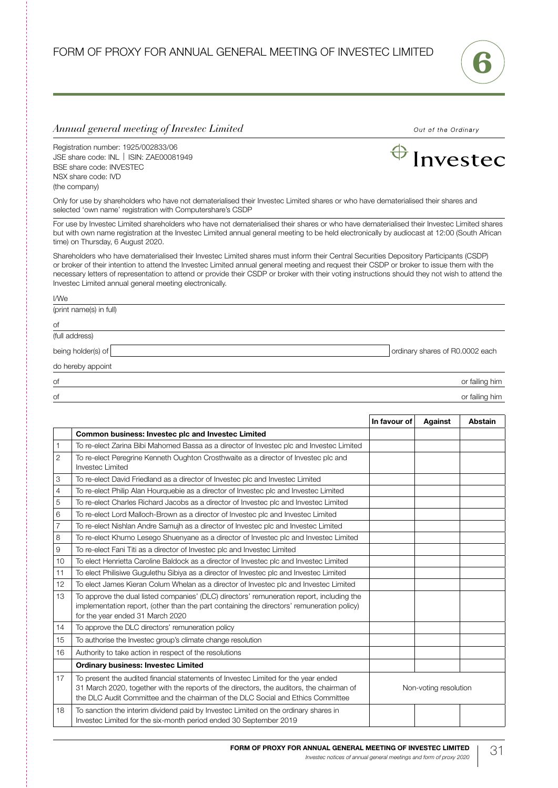

## *Annual general meeting of Investec Limited*

Out of the Ordinary

Registration number: 1925/002833/06 JSE share code: INL | ISIN: ZAE00081949 BSE share code: INVESTEC NSX share code: IVD (the company)

↔ Investec

Only for use by shareholders who have not dematerialised their Investec Limited shares or who have dematerialised their shares and selected 'own name' registration with Computershare's CSDP

For use by Investec Limited shareholders who have not dematerialised their shares or who have dematerialised their Investec Limited shares but with own name registration at the Investec Limited annual general meeting to be held electronically by audiocast at 12:00 (South African time) on Thursday, 6 August 2020.

Shareholders who have dematerialised their Investec Limited shares must inform their Central Securities Depository Participants (CSDP) or broker of their intention to attend the Investec Limited annual general meeting and request their CSDP or broker to issue them with the necessary letters of representation to attend or provide their CSDP or broker with their voting instructions should they not wish to attend the Investec Limited annual general meeting electronically.

| I/We                    |                                 |
|-------------------------|---------------------------------|
| (print name(s) in full) |                                 |
| of                      |                                 |
| (full address)          |                                 |
| being holder(s) of      | ordinary shares of R0.0002 each |
| do hereby appoint       |                                 |
| of                      | or failing him                  |
| of                      | or failing him                  |

|  | or failing him |  |
|--|----------------|--|
|  |                |  |
|  |                |  |
|  |                |  |

|                |                                                                                                                                                                                                                                                                   | In favour of          | Against | Abstain |
|----------------|-------------------------------------------------------------------------------------------------------------------------------------------------------------------------------------------------------------------------------------------------------------------|-----------------------|---------|---------|
|                | Common business: Investec plc and Investec Limited                                                                                                                                                                                                                |                       |         |         |
| 1              | To re-elect Zarina Bibi Mahomed Bassa as a director of Investec plc and Investec Limited                                                                                                                                                                          |                       |         |         |
| $\overline{c}$ | To re-elect Peregrine Kenneth Oughton Crosthwaite as a director of Investec plc and<br><b>Investec Limited</b>                                                                                                                                                    |                       |         |         |
| 3              | To re-elect David Friedland as a director of Investec plc and Investec Limited                                                                                                                                                                                    |                       |         |         |
| $\overline{4}$ | To re-elect Philip Alan Hourquebie as a director of Investec plc and Investec Limited                                                                                                                                                                             |                       |         |         |
| 5              | To re-elect Charles Richard Jacobs as a director of Investec plc and Investec Limited                                                                                                                                                                             |                       |         |         |
| 6              | To re-elect Lord Malloch-Brown as a director of Investec plc and Investec Limited                                                                                                                                                                                 |                       |         |         |
| $\overline{7}$ | To re-elect Nishlan Andre Samujh as a director of Investec plc and Investec Limited                                                                                                                                                                               |                       |         |         |
| 8              | To re-elect Khumo Lesego Shuenyane as a director of Investec plc and Investec Limited                                                                                                                                                                             |                       |         |         |
| 9              | To re-elect Fani Titi as a director of Investec plc and Investec Limited                                                                                                                                                                                          |                       |         |         |
| 10             | To elect Henrietta Caroline Baldock as a director of Investec plc and Investec Limited                                                                                                                                                                            |                       |         |         |
| 11             | To elect Philisiwe Gugulethu Sibiya as a director of Investec plc and Investec Limited                                                                                                                                                                            |                       |         |         |
| 12             | To elect James Kieran Colum Whelan as a director of Investec plc and Investec Limited                                                                                                                                                                             |                       |         |         |
| 13             | To approve the dual listed companies' (DLC) directors' remuneration report, including the<br>implementation report, (other than the part containing the directors' remuneration policy)<br>for the year ended 31 March 2020                                       |                       |         |         |
| 14             | To approve the DLC directors' remuneration policy                                                                                                                                                                                                                 |                       |         |         |
| 15             | To authorise the Investec group's climate change resolution                                                                                                                                                                                                       |                       |         |         |
| 16             | Authority to take action in respect of the resolutions                                                                                                                                                                                                            |                       |         |         |
|                | <b>Ordinary business: Investec Limited</b>                                                                                                                                                                                                                        |                       |         |         |
| 17             | To present the audited financial statements of Investec Limited for the year ended<br>31 March 2020, together with the reports of the directors, the auditors, the chairman of<br>the DLC Audit Committee and the chairman of the DLC Social and Ethics Committee | Non-voting resolution |         |         |
| 18             | To sanction the interim dividend paid by Investec Limited on the ordinary shares in<br>Investec Limited for the six-month period ended 30 September 2019                                                                                                          |                       |         |         |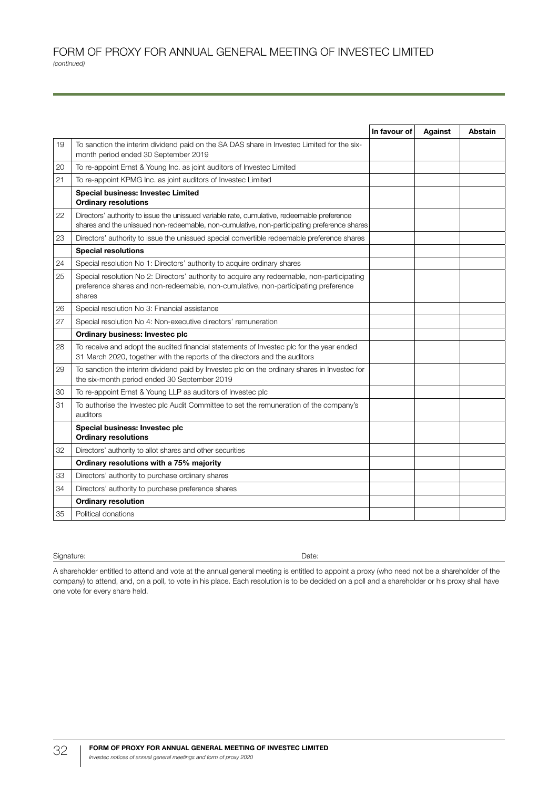## FORM OF PROXY FOR ANNUAL GENERAL MEETING OF INVESTEC LIMITED *(continued)*

|    |                                                                                                                                                                                            | In favour of | <b>Against</b> | <b>Abstain</b> |
|----|--------------------------------------------------------------------------------------------------------------------------------------------------------------------------------------------|--------------|----------------|----------------|
| 19 | To sanction the interim dividend paid on the SA DAS share in Investec Limited for the six-<br>month period ended 30 September 2019                                                         |              |                |                |
| 20 | To re-appoint Ernst & Young Inc. as joint auditors of Investec Limited                                                                                                                     |              |                |                |
| 21 | To re-appoint KPMG Inc. as joint auditors of Investec Limited                                                                                                                              |              |                |                |
|    | <b>Special business: Investec Limited</b><br><b>Ordinary resolutions</b>                                                                                                                   |              |                |                |
| 22 | Directors' authority to issue the unissued variable rate, cumulative, redeemable preference<br>shares and the unissued non-redeemable, non-cumulative, non-participating preference shares |              |                |                |
| 23 | Directors' authority to issue the unissued special convertible redeemable preference shares                                                                                                |              |                |                |
|    | <b>Special resolutions</b>                                                                                                                                                                 |              |                |                |
| 24 | Special resolution No 1: Directors' authority to acquire ordinary shares                                                                                                                   |              |                |                |
| 25 | Special resolution No 2: Directors' authority to acquire any redeemable, non-participating<br>preference shares and non-redeemable, non-cumulative, non-participating preference<br>shares |              |                |                |
| 26 | Special resolution No 3: Financial assistance                                                                                                                                              |              |                |                |
| 27 | Special resolution No 4: Non-executive directors' remuneration                                                                                                                             |              |                |                |
|    | Ordinary business: Investec plc                                                                                                                                                            |              |                |                |
| 28 | To receive and adopt the audited financial statements of Investec plc for the year ended<br>31 March 2020, together with the reports of the directors and the auditors                     |              |                |                |
| 29 | To sanction the interim dividend paid by Investec plc on the ordinary shares in Investec for<br>the six-month period ended 30 September 2019                                               |              |                |                |
| 30 | To re-appoint Ernst & Young LLP as auditors of Investec plc                                                                                                                                |              |                |                |
| 31 | To authorise the Investec plc Audit Committee to set the remuneration of the company's<br>auditors                                                                                         |              |                |                |
|    | Special business: Investec plc<br><b>Ordinary resolutions</b>                                                                                                                              |              |                |                |
| 32 | Directors' authority to allot shares and other securities                                                                                                                                  |              |                |                |
|    | Ordinary resolutions with a 75% majority                                                                                                                                                   |              |                |                |
| 33 | Directors' authority to purchase ordinary shares                                                                                                                                           |              |                |                |
| 34 | Directors' authority to purchase preference shares                                                                                                                                         |              |                |                |
|    | <b>Ordinary resolution</b>                                                                                                                                                                 |              |                |                |
| 35 | Political donations                                                                                                                                                                        |              |                |                |

Signature: Date: Date: Date: Date: Date: Date: Date: Date: Date: Date: Date: Date: Date: Date: Date: Date: Date: Date: Date: Date: Date: Date: Date: Date: Date: Date: Date: Date: Date: Date: Date: Date: Date: Date: Date: D

A shareholder entitled to attend and vote at the annual general meeting is entitled to appoint a proxy (who need not be a shareholder of the company) to attend, and, on a poll, to vote in his place. Each resolution is to be decided on a poll and a shareholder or his proxy shall have one vote for every share held.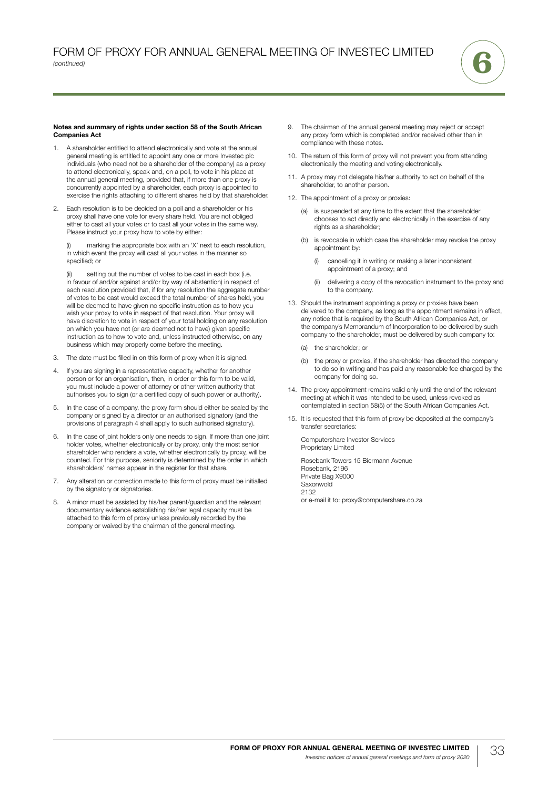

#### Notes and summary of rights under section 58 of the South African Companies Act

- 1. A shareholder entitled to attend electronically and vote at the annual general meeting is entitled to appoint any one or more Investec plc individuals (who need not be a shareholder of the company) as a proxy to attend electronically, speak and, on a poll, to vote in his place at the annual general meeting, provided that, if more than one proxy is concurrently appointed by a shareholder, each proxy is appointed to exercise the rights attaching to different shares held by that shareholder.
- 2. Each resolution is to be decided on a poll and a shareholder or his proxy shall have one vote for every share held. You are not obliged either to cast all your votes or to cast all your votes in the same way. Please instruct your proxy how to vote by either:

marking the appropriate box with an 'X' next to each resolution. in which event the proxy will cast all your votes in the manner so specified; or

setting out the number of votes to be cast in each box (i.e. in favour of and/or against and/or by way of abstention) in respect of each resolution provided that, if for any resolution the aggregate number of votes to be cast would exceed the total number of shares held, you will be deemed to have given no specific instruction as to how you wish your proxy to vote in respect of that resolution. Your proxy will have discretion to vote in respect of your total holding on any resolution on which you have not (or are deemed not to have) given specific instruction as to how to vote and, unless instructed otherwise, on any business which may properly come before the meeting.

- 3. The date must be filled in on this form of proxy when it is signed.
- 4. If you are signing in a representative capacity, whether for another person or for an organisation, then, in order or this form to be valid, you must include a power of attorney or other written authority that authorises you to sign (or a certified copy of such power or authority).
- 5. In the case of a company, the proxy form should either be sealed by the company or signed by a director or an authorised signatory (and the provisions of paragraph 4 shall apply to such authorised signatory).
- 6. In the case of joint holders only one needs to sign. If more than one joint holder votes, whether electronically or by proxy, only the most senior shareholder who renders a vote, whether electronically by proxy, will be counted. For this purpose, seniority is determined by the order in which shareholders' names appear in the register for that share.
- 7. Any alteration or correction made to this form of proxy must be initialled by the signatory or signatories.
- 8. A minor must be assisted by his/her parent/guardian and the relevant documentary evidence establishing his/her legal capacity must be attached to this form of proxy unless previously recorded by the company or waived by the chairman of the general meeting.
- 9. The chairman of the annual general meeting may reject or accept any proxy form which is completed and/or received other than in compliance with these notes.
- 10. The return of this form of proxy will not prevent you from attending electronically the meeting and voting electronically.
- 11. A proxy may not delegate his/her authority to act on behalf of the shareholder, to another person.
- 12. The appointment of a proxy or proxies:
	- (a) is suspended at any time to the extent that the shareholder chooses to act directly and electronically in the exercise of any rights as a shareholder;
	- (b) is revocable in which case the shareholder may revoke the proxy appointment by:
		- (i) cancelling it in writing or making a later inconsistent appointment of a proxy; and
		- (ii) delivering a copy of the revocation instrument to the proxy and to the company.
- 13. Should the instrument appointing a proxy or proxies have been delivered to the company, as long as the appointment remains in effect, any notice that is required by the South African Companies Act, or the company's Memorandum of Incorporation to be delivered by such company to the shareholder, must be delivered by such company to:
	- (a) the shareholder; or
	- (b) the proxy or proxies, if the shareholder has directed the company to do so in writing and has paid any reasonable fee charged by the company for doing so.
- 14. The proxy appointment remains valid only until the end of the relevant meeting at which it was intended to be used, unless revoked as contemplated in section 58(5) of the South African Companies Act.
- 15. It is requested that this form of proxy be deposited at the company's transfer secretaries:

Computershare Investor Services Proprietary Limited

Rosebank Towers 15 Biermann Avenue Rosebank, 2196 Private Bag X9000 Saxonwold 2132 or e-mail it to: proxy@computershare.co.za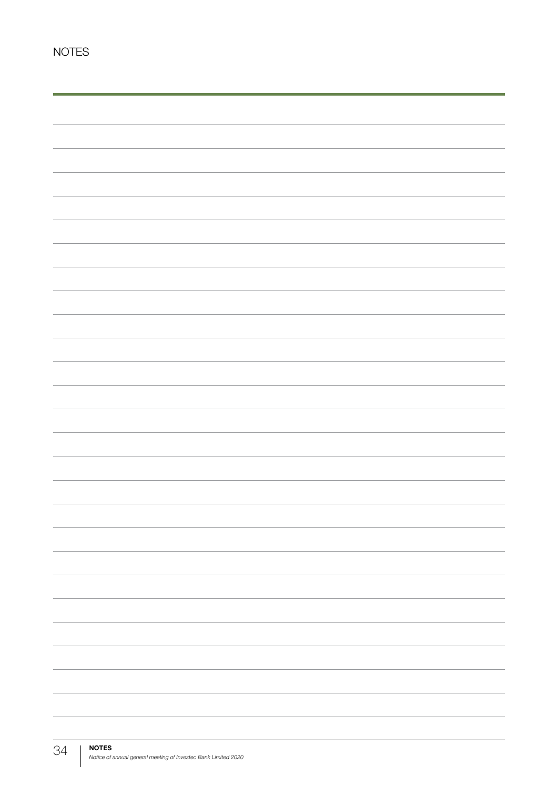| - |
|---|
|   |
|   |
|   |
|   |
|   |
|   |

NOTES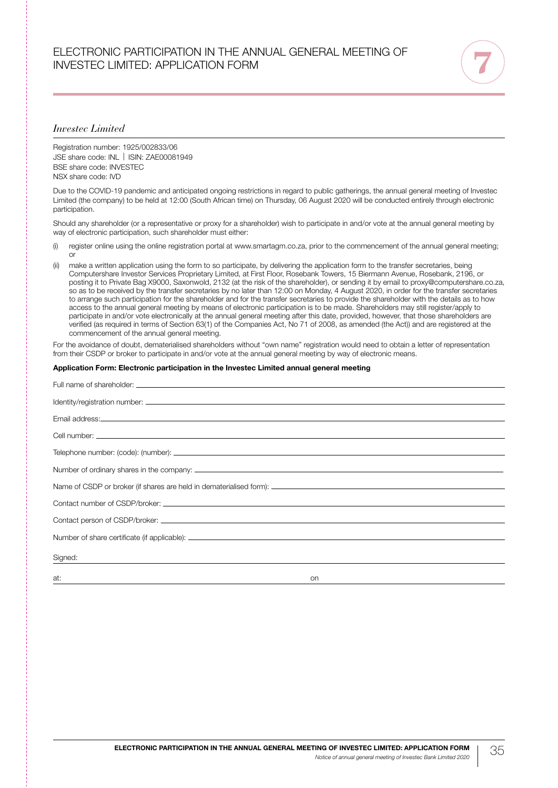## 7 ELECTRONIC PARTICIPATION IN THE ANNUAL GENERAL MEETING OF INVESTEC LIMITED: APPLICATION FORM



## *Investec Limited*

Registration number: 1925/002833/06 JSE share code: INL | ISIN: ZAE00081949 BSE share code: INVESTEC NSX share code: IVD

Due to the COVID-19 pandemic and anticipated ongoing restrictions in regard to public gatherings, the annual general meeting of Investec Limited (the company) to be held at 12:00 (South African time) on Thursday, 06 August 2020 will be conducted entirely through electronic participation.

Should any shareholder (or a representative or proxy for a shareholder) wish to participate in and/or vote at the annual general meeting by way of electronic participation, such shareholder must either:

- (i) register online using the online registration portal at www.smartagm.co.za, prior to the commencement of the annual general meeting; or
- (ii) make a written application using the form to so participate, by delivering the application form to the transfer secretaries, being Computershare Investor Services Proprietary Limited, at First Floor, Rosebank Towers, 15 Biermann Avenue, Rosebank, 2196, or posting it to Private Bag X9000, Saxonwold, 2132 (at the risk of the shareholder), or sending it by email to proxy@computershare.co.za, so as to be received by the transfer secretaries by no later than 12:00 on Monday, 4 August 2020, in order for the transfer secretaries to arrange such participation for the shareholder and for the transfer secretaries to provide the shareholder with the details as to how access to the annual general meeting by means of electronic participation is to be made. Shareholders may still register/apply to participate in and/or vote electronically at the annual general meeting after this date, provided, however, that those shareholders are verified (as required in terms of Section 63(1) of the Companies Act, No 71 of 2008, as amended (the Act)) and are registered at the commencement of the annual general meeting.

For the avoidance of doubt, dematerialised shareholders without "own name" registration would need to obtain a letter of representation from their CSDP or broker to participate in and/or vote at the annual general meeting by way of electronic means.

#### Application Form: Electronic participation in the Investec Limited annual general meeting

| Signed: |    |  |
|---------|----|--|
| at:     | on |  |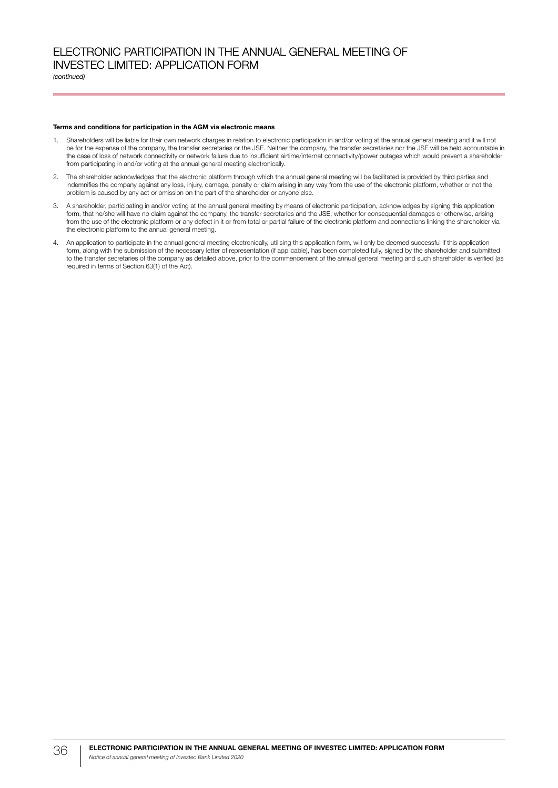*(continued)*

#### Terms and conditions for participation in the AGM via electronic means

- 1. Shareholders will be liable for their own network charges in relation to electronic participation in and/or voting at the annual general meeting and it will not be for the expense of the company, the transfer secretaries or the JSE. Neither the company, the transfer secretaries nor the JSE will be held accountable in the case of loss of network connectivity or network failure due to insufficient airtime/internet connectivity/power outages which would prevent a shareholder from participating in and/or voting at the annual general meeting electronically.
- 2. The shareholder acknowledges that the electronic platform through which the annual general meeting will be facilitated is provided by third parties and indemnifies the company against any loss, injury, damage, penalty or claim arising in any way from the use of the electronic platform, whether or not the problem is caused by any act or omission on the part of the shareholder or anyone else.
- 3. A shareholder, participating in and/or voting at the annual general meeting by means of electronic participation, acknowledges by signing this application form, that he/she will have no claim against the company, the transfer secretaries and the JSE, whether for consequential damages or otherwise, arising from the use of the electronic platform or any defect in it or from total or partial failure of the electronic platform and connections linking the shareholder via the electronic platform to the annual general meeting.
- 4. An application to participate in the annual general meeting electronically, utilising this application form, will only be deemed successful if this application form, along with the submission of the necessary letter of representation (if applicable), has been completed fully, signed by the shareholder and submitted to the transfer secretaries of the company as detailed above, prior to the commencement of the annual general meeting and such shareholder is verified (as required in terms of Section 63(1) of the Act).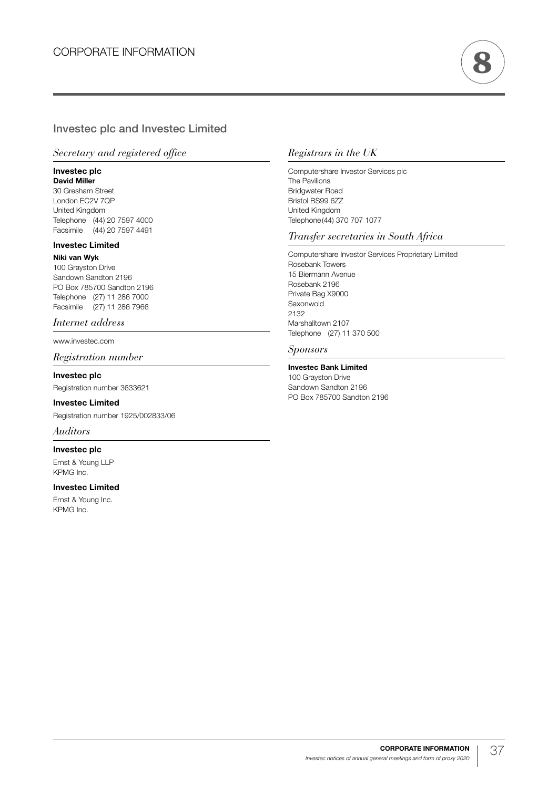## Investec plc and Investec Limited

## *Secretary and registered office*

## Investec plc

David Miller 30 Gresham Street London EC2V 7QP United Kingdom Telephone (44) 20 7597 4000 Facsimile (44) 20 7597 4491

## Investec Limited

Niki van Wyk

100 Grayston Drive Sandown Sandton 2196 PO Box 785700 Sandton 2196 Telephone (27) 11 286 7000 Facsimile (27) 11 286 7966

## *Internet address*

www.investec.com

*Registration number*

## Investec plc

Registration number 3633621

## Investec Limited

Registration number 1925/002833/06

#### *Auditors*

Investec plc

Ernst & Young LLP KPMG Inc.

## Investec Limited

Ernst & Young Inc. KPMG Inc.

## *Registrars in the UK*

Computershare Investor Services plc The Pavilions Bridgwater Road Bristol BS99 6ZZ United Kingdom Telephone(44) 370 707 1077

## *Transfer secretaries in South Africa*

Computershare Investor Services Proprietary Limited Rosebank Towers 15 Biermann Avenue Rosebank 2196 Private Bag X9000 Saxonwold 2132 Marshalltown 2107 Telephone (27) 11 370 500

## *Sponsors*

#### Investec Bank Limited

100 Grayston Drive Sandown Sandton 2196 PO Box 785700 Sandton 2196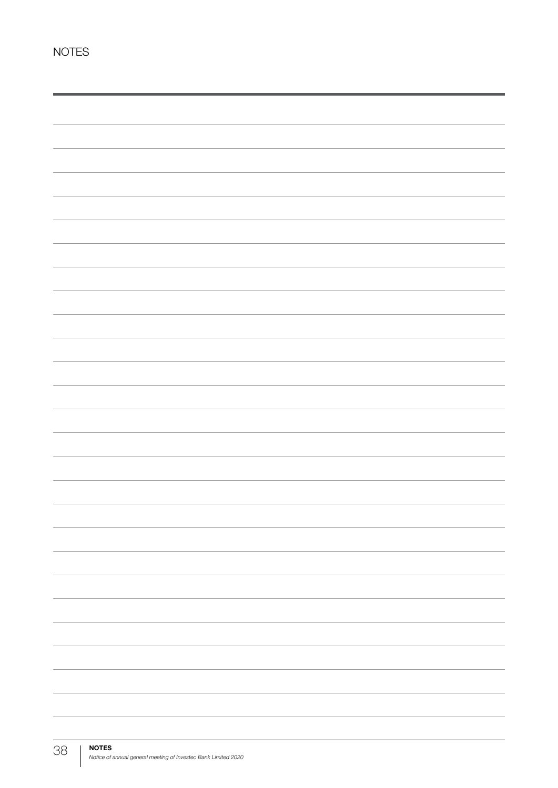| r<br>N |  |
|--------|--|
|--------|--|